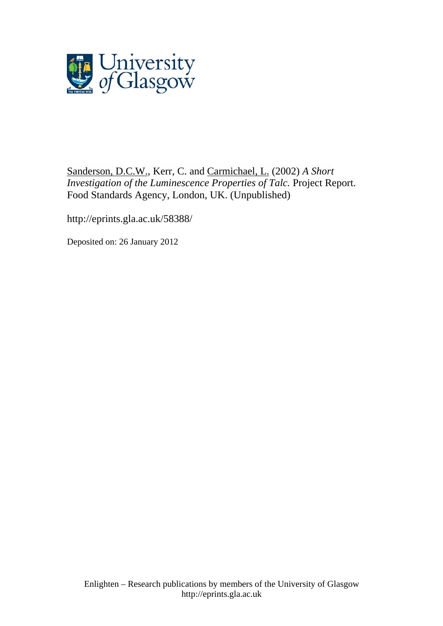

[Sanderson, D.C.W.](http://eprints.gla.ac.uk/view/author/3913.html), Kerr, C. and [Carmichael, L.](http://eprints.gla.ac.uk/view/author/8139.html) (2002) *A Short Investigation of the Luminescence Properties of Talc.* Project Report. Food Standards Agency, London, UK. (Unpublished)

<http://eprints.gla.ac.uk/58388/>

Deposited on: 26 January 2012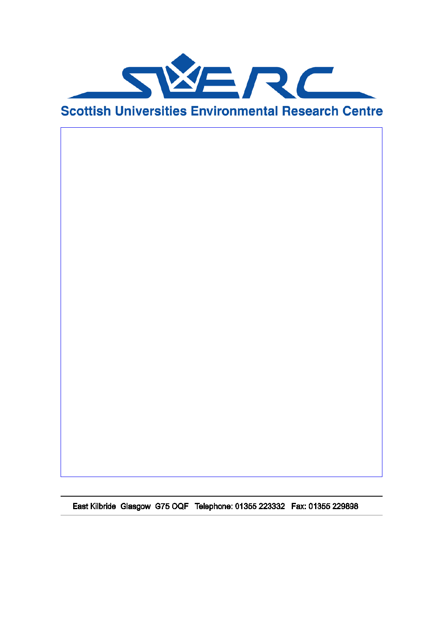



East Kilbride Glasgow G75 OQF Telephone: 01355 223332 Fax: 01355 229898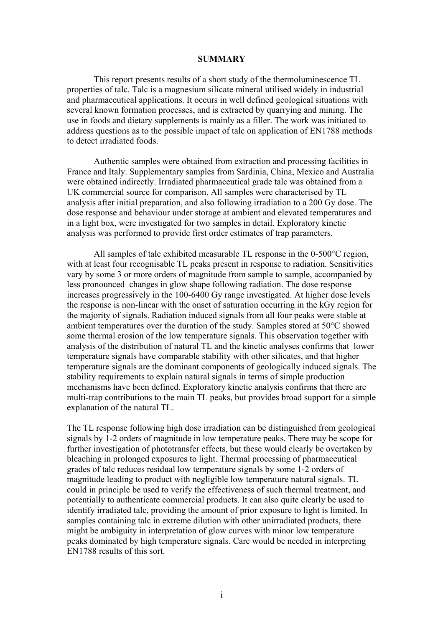#### **SUMMARY**

This report presents results of a short study of the thermoluminescence TL properties of talc. Talc is a magnesium silicate mineral utilised widely in industrial and pharmaceutical applications. It occurs in well defined geological situations with several known formation processes, and is extracted by quarrying and mining. The use in foods and dietary supplements is mainly as a filler. The work was initiated to address questions as to the possible impact of talc on application of EN1788 methods to detect irradiated foods.

Authentic samples were obtained from extraction and processing facilities in France and Italy. Supplementary samples from Sardinia, China, Mexico and Australia were obtained indirectly. Irradiated pharmaceutical grade talc was obtained from a UK commercial source for comparison. All samples were characterised by TL analysis after initial preparation, and also following irradiation to a 200 Gy dose. The dose response and behaviour under storage at ambient and elevated temperatures and in a light box, were investigated for two samples in detail. Exploratory kinetic analysis was performed to provide first order estimates of trap parameters.

All samples of talc exhibited measurable TL response in the 0-500°C region, with at least four recognisable TL peaks present in response to radiation. Sensitivities vary by some 3 or more orders of magnitude from sample to sample, accompanied by less pronounced changes in glow shape following radiation. The dose response increases progressively in the 100-6400 Gy range investigated. At higher dose levels the response is non-linear with the onset of saturation occurring in the kGy region for the majority of signals. Radiation induced signals from all four peaks were stable at ambient temperatures over the duration of the study. Samples stored at 50°C showed some thermal erosion of the low temperature signals. This observation together with analysis of the distribution of natural TL and the kinetic analyses confirms that lower temperature signals have comparable stability with other silicates, and that higher temperature signals are the dominant components of geologically induced signals. The stability requirements to explain natural signals in terms of simple production mechanisms have been defined. Exploratory kinetic analysis confirms that there are multi-trap contributions to the main TL peaks, but provides broad support for a simple explanation of the natural TL.

The TL response following high dose irradiation can be distinguished from geological signals by 1-2 orders of magnitude in low temperature peaks. There may be scope for further investigation of phototransfer effects, but these would clearly be overtaken by bleaching in prolonged exposures to light. Thermal processing of pharmaceutical grades of talc reduces residual low temperature signals by some 1-2 orders of magnitude leading to product with negligible low temperature natural signals. TL could in principle be used to verify the effectiveness of such thermal treatment, and potentially to authenticate commercial products. It can also quite clearly be used to identify irradiated talc, providing the amount of prior exposure to light is limited. In samples containing talc in extreme dilution with other unirradiated products, there might be ambiguity in interpretation of glow curves with minor low temperature peaks dominated by high temperature signals. Care would be needed in interpreting EN1788 results of this sort.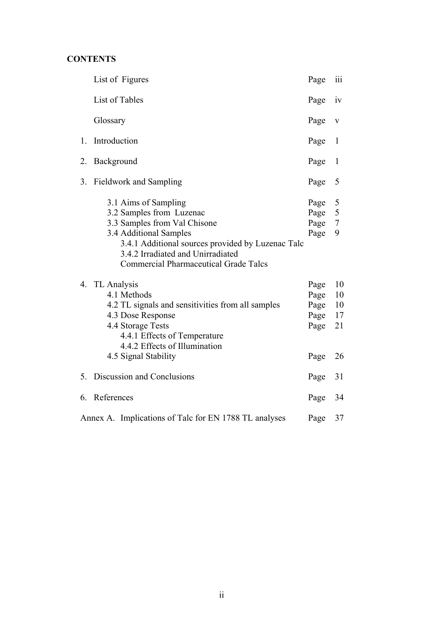# **CONTENTS**

|    | List of Figures                                                                                                                                                                                                                                      | Page                                         | 111                              |
|----|------------------------------------------------------------------------------------------------------------------------------------------------------------------------------------------------------------------------------------------------------|----------------------------------------------|----------------------------------|
|    | List of Tables                                                                                                                                                                                                                                       | Page                                         | 1V                               |
|    | Glossary                                                                                                                                                                                                                                             | Page                                         | $\mathbf{V}$                     |
| 1. | Introduction                                                                                                                                                                                                                                         | Page                                         | $\mathbf{1}$                     |
| 2. | Background                                                                                                                                                                                                                                           | Page                                         | $\mathbf{1}$                     |
| 3. | <b>Fieldwork and Sampling</b>                                                                                                                                                                                                                        | Page                                         | 5                                |
|    | 3.1 Aims of Sampling<br>3.2 Samples from Luzenac<br>3.3 Samples from Val Chisone<br>3.4 Additional Samples<br>3.4.1 Additional sources provided by Luzenac Talc<br>3.4.2 Irradiated and Unirradiated<br><b>Commercial Pharmaceutical Grade Talcs</b> | Page<br>Page<br>Page<br>Page                 | 5<br>5<br>$\overline{7}$<br>9    |
|    | 4. TL Analysis<br>4.1 Methods<br>4.2 TL signals and sensitivities from all samples<br>4.3 Dose Response<br>4.4 Storage Tests<br>4.4.1 Effects of Temperature<br>4.4.2 Effects of Illumination<br>4.5 Signal Stability                                | Page<br>Page<br>Page<br>Page<br>Page<br>Page | 10<br>10<br>10<br>17<br>21<br>26 |
|    | 5. Discussion and Conclusions                                                                                                                                                                                                                        | Page                                         | 31                               |
| 6. | References                                                                                                                                                                                                                                           | Page                                         | 34                               |
|    | Annex A. Implications of Talc for EN 1788 TL analyses                                                                                                                                                                                                | Page                                         | 37                               |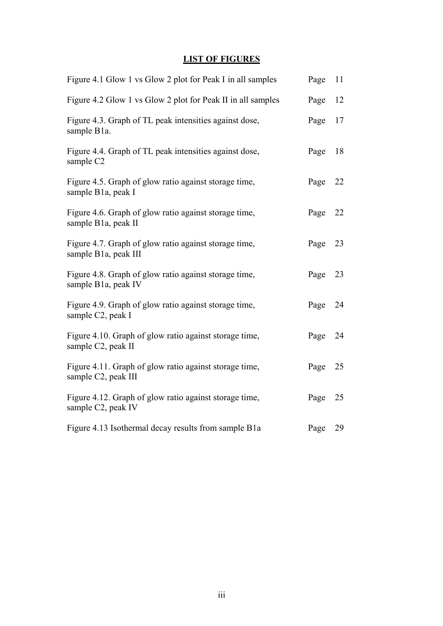# **LIST OF FIGURES**

| Figure 4.1 Glow 1 vs Glow 2 plot for Peak I in all samples                                | Page | 11 |
|-------------------------------------------------------------------------------------------|------|----|
| Figure 4.2 Glow 1 vs Glow 2 plot for Peak II in all samples                               | Page | 12 |
| Figure 4.3. Graph of TL peak intensities against dose,<br>sample B1a.                     | Page | 17 |
| Figure 4.4. Graph of TL peak intensities against dose,<br>sample C <sub>2</sub>           | Page | 18 |
| Figure 4.5. Graph of glow ratio against storage time,<br>sample B1a, peak I               | Page | 22 |
| Figure 4.6. Graph of glow ratio against storage time,<br>sample B1a, peak II              | Page | 22 |
| Figure 4.7. Graph of glow ratio against storage time,<br>sample B1a, peak III             | Page | 23 |
| Figure 4.8. Graph of glow ratio against storage time,<br>sample B <sub>1</sub> a, peak IV | Page | 23 |
| Figure 4.9. Graph of glow ratio against storage time,<br>sample C2, peak I                | Page | 24 |
| Figure 4.10. Graph of glow ratio against storage time,<br>sample C2, peak II              | Page | 24 |
| Figure 4.11. Graph of glow ratio against storage time,<br>sample C2, peak III             | Page | 25 |
| Figure 4.12. Graph of glow ratio against storage time,<br>sample C2, peak IV              | Page | 25 |
| Figure 4.13 Isothermal decay results from sample B1a                                      | Page | 29 |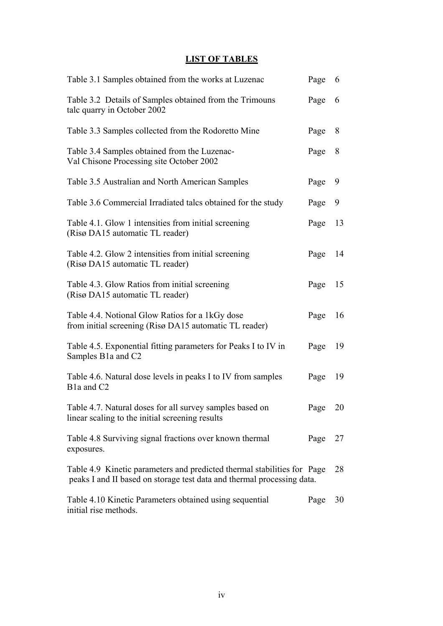# **LIST OF TABLES**

| Table 3.1 Samples obtained from the works at Luzenac                                                                                              | Page | 6  |
|---------------------------------------------------------------------------------------------------------------------------------------------------|------|----|
| Table 3.2 Details of Samples obtained from the Trimouns<br>talc quarry in October 2002                                                            | Page | 6  |
| Table 3.3 Samples collected from the Rodoretto Mine                                                                                               | Page | 8  |
| Table 3.4 Samples obtained from the Luzenac-<br>Val Chisone Processing site October 2002                                                          | Page | 8  |
| Table 3.5 Australian and North American Samples                                                                                                   | Page | 9  |
| Table 3.6 Commercial Irradiated talcs obtained for the study                                                                                      | Page | 9  |
| Table 4.1. Glow 1 intensities from initial screening<br>(Risø DA15 automatic TL reader)                                                           | Page | 13 |
| Table 4.2. Glow 2 intensities from initial screening<br>(Risø DA15 automatic TL reader)                                                           | Page | 14 |
| Table 4.3. Glow Ratios from initial screening<br>(Risø DA15 automatic TL reader)                                                                  | Page | 15 |
| Table 4.4. Notional Glow Ratios for a 1kGy dose<br>from initial screening (Risø DA15 automatic TL reader)                                         | Page | 16 |
| Table 4.5. Exponential fitting parameters for Peaks I to IV in<br>Samples B1a and C2                                                              | Page | 19 |
| Table 4.6. Natural dose levels in peaks I to IV from samples<br>B <sub>1</sub> a and C <sub>2</sub>                                               | Page | 19 |
| Table 4.7. Natural doses for all survey samples based on<br>linear scaling to the initial screening results                                       | Page | 20 |
| Table 4.8 Surviving signal fractions over known thermal<br>exposures.                                                                             | Page | 27 |
| Table 4.9 Kinetic parameters and predicted thermal stabilities for Page<br>peaks I and II based on storage test data and thermal processing data. |      | 28 |
| Table 4.10 Kinetic Parameters obtained using sequential<br>initial rise methods.                                                                  | Page | 30 |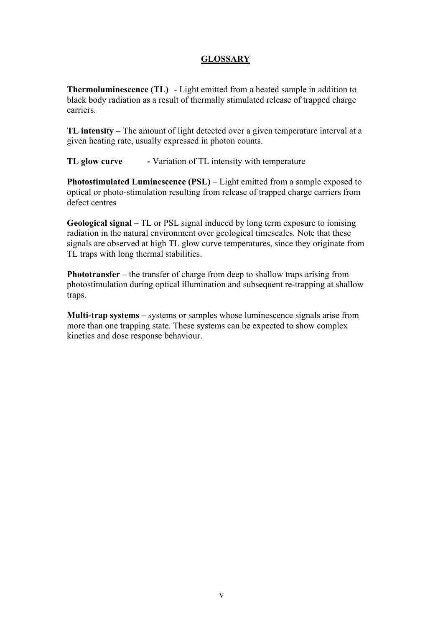# **GLOSSARY**

**Thermoluminescence (TL)** - Light emitted from a heated sample in addition to black body radiation as a result of thermally stimulated release of trapped charge carriers.

**TL intensity –** The amount of light detected over a given temperature interval at a given heating rate, usually expressed in photon counts.

**TL glow curve - Variation of TL intensity with temperature** 

**Photostimulated Luminescence (PSL)** – Light emitted from a sample exposed to optical or photo-stimulation resulting from release of trapped charge carriers from defect centres

**Geological signal –** TL or PSL signal induced by long term exposure to ionising radiation in the natural environment over geological timescales. Note that these signals are observed at high TL glow curve temperatures, since they originate from TL traps with long thermal stabilities.

**Phototransfer** – the transfer of charge from deep to shallow traps arising from photostimulation during optical illumination and subsequent re-trapping at shallow traps.

**Multi-trap systems –** systems or samples whose luminescence signals arise from more than one trapping state. These systems can be expected to show complex kinetics and dose response behaviour.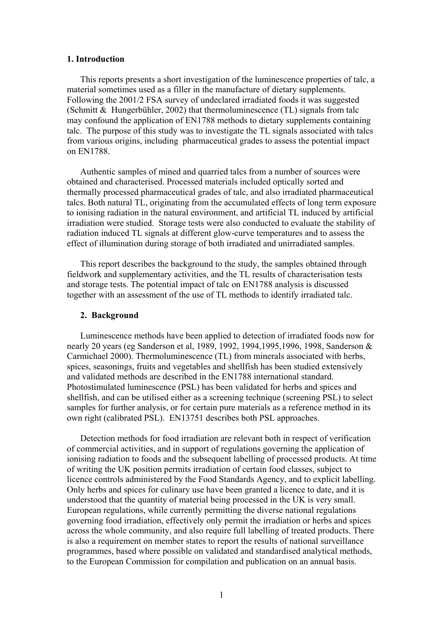#### **1. Introduction**

This reports presents a short investigation of the luminescence properties of talc, a material sometimes used as a filler in the manufacture of dietary supplements. Following the 2001/2 FSA survey of undeclared irradiated foods it was suggested (Schmitt & Hungerbühler, 2002) that thermoluminescence (TL) signals from talc may confound the application of EN1788 methods to dietary supplements containing talc. The purpose of this study was to investigate the TL signals associated with talcs from various origins, including pharmaceutical grades to assess the potential impact on EN1788.

Authentic samples of mined and quarried talcs from a number of sources were obtained and characterised. Processed materials included optically sorted and thermally processed pharmaceutical grades of talc, and also irradiated pharmaceutical talcs. Both natural TL, originating from the accumulated effects of long term exposure to ionising radiation in the natural environment, and artificial TL induced by artificial irradiation were studied. Storage tests were also conducted to evaluate the stability of radiation induced TL signals at different glow-curve temperatures and to assess the effect of illumination during storage of both irradiated and unirradiated samples.

This report describes the background to the study, the samples obtained through fieldwork and supplementary activities, and the TL results of characterisation tests and storage tests. The potential impact of talc on EN1788 analysis is discussed together with an assessment of the use of TL methods to identify irradiated talc.

#### **2. Background**

Luminescence methods have been applied to detection of irradiated foods now for nearly 20 years (eg Sanderson et al, 1989, 1992, 1994,1995,1996, 1998, Sanderson & Carmichael 2000). Thermoluminescence (TL) from minerals associated with herbs, spices, seasonings, fruits and vegetables and shellfish has been studied extensively and validated methods are described in the EN1788 international standard. Photostimulated luminescence (PSL) has been validated for herbs and spices and shellfish, and can be utilised either as a screening technique (screening PSL) to select samples for further analysis, or for certain pure materials as a reference method in its own right (calibrated PSL). EN13751 describes both PSL approaches.

Detection methods for food irradiation are relevant both in respect of verification of commercial activities, and in support of regulations governing the application of ionising radiation to foods and the subsequent labelling of processed products. At time of writing the UK position permits irradiation of certain food classes, subject to licence controls administered by the Food Standards Agency, and to explicit labelling. Only herbs and spices for culinary use have been granted a licence to date, and it is understood that the quantity of material being processed in the UK is very small. European regulations, while currently permitting the diverse national regulations governing food irradiation, effectively only permit the irradiation or herbs and spices across the whole community, and also require full labelling of treated products. There is also a requirement on member states to report the results of national surveillance programmes, based where possible on validated and standardised analytical methods, to the European Commission for compilation and publication on an annual basis.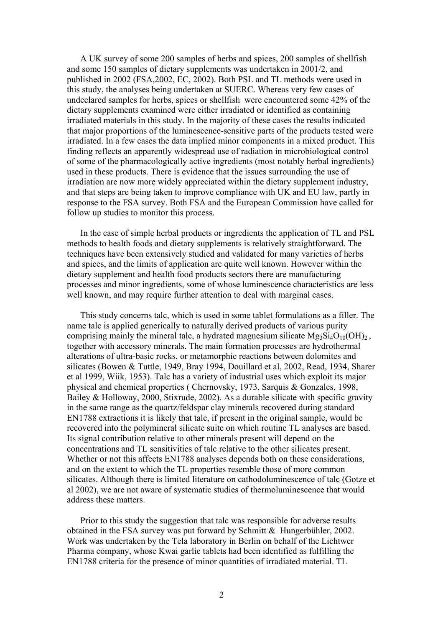A UK survey of some 200 samples of herbs and spices, 200 samples of shellfish and some 150 samples of dietary supplements was undertaken in 2001/2, and published in 2002 (FSA,2002, EC, 2002). Both PSL and TL methods were used in this study, the analyses being undertaken at SUERC. Whereas very few cases of undeclared samples for herbs, spices or shellfish were encountered some 42% of the dietary supplements examined were either irradiated or identified as containing irradiated materials in this study. In the majority of these cases the results indicated that major proportions of the luminescence-sensitive parts of the products tested were irradiated. In a few cases the data implied minor components in a mixed product. This finding reflects an apparently widespread use of radiation in microbiological control of some of the pharmacologically active ingredients (most notably herbal ingredients) used in these products. There is evidence that the issues surrounding the use of irradiation are now more widely appreciated within the dietary supplement industry, and that steps are being taken to improve compliance with UK and EU law, partly in response to the FSA survey. Both FSA and the European Commission have called for follow up studies to monitor this process.

In the case of simple herbal products or ingredients the application of TL and PSL methods to health foods and dietary supplements is relatively straightforward. The techniques have been extensively studied and validated for many varieties of herbs and spices, and the limits of application are quite well known. However within the dietary supplement and health food products sectors there are manufacturing processes and minor ingredients, some of whose luminescence characteristics are less well known, and may require further attention to deal with marginal cases.

This study concerns talc, which is used in some tablet formulations as a filler. The name talc is applied generically to naturally derived products of various purity comprising mainly the mineral talc, a hydrated magnesium silicate  $Mg_3Si_4O_{10}(OH)_2$ , together with accessory minerals. The main formation processes are hydrothermal alterations of ultra-basic rocks, or metamorphic reactions between dolomites and silicates (Bowen & Tuttle, 1949, Bray 1994, Douillard et al, 2002, Read, 1934, Sharer et al 1999, Wiik, 1953). Talc has a variety of industrial uses which exploit its major physical and chemical properties ( Chernovsky, 1973, Sarquis & Gonzales, 1998, Bailey & Holloway, 2000, Stixrude, 2002). As a durable silicate with specific gravity in the same range as the quartz/feldspar clay minerals recovered during standard EN1788 extractions it is likely that talc, if present in the original sample, would be recovered into the polymineral silicate suite on which routine TL analyses are based. Its signal contribution relative to other minerals present will depend on the concentrations and TL sensitivities of talc relative to the other silicates present. Whether or not this affects EN1788 analyses depends both on these considerations, and on the extent to which the TL properties resemble those of more common silicates. Although there is limited literature on cathodoluminescence of talc (Gotze et al 2002), we are not aware of systematic studies of thermoluminescence that would address these matters.

Prior to this study the suggestion that talc was responsible for adverse results obtained in the FSA survey was put forward by Schmitt & Hungerbühler, 2002. Work was undertaken by the Tela laboratory in Berlin on behalf of the Lichtwer Pharma company, whose Kwai garlic tablets had been identified as fulfilling the EN1788 criteria for the presence of minor quantities of irradiated material. TL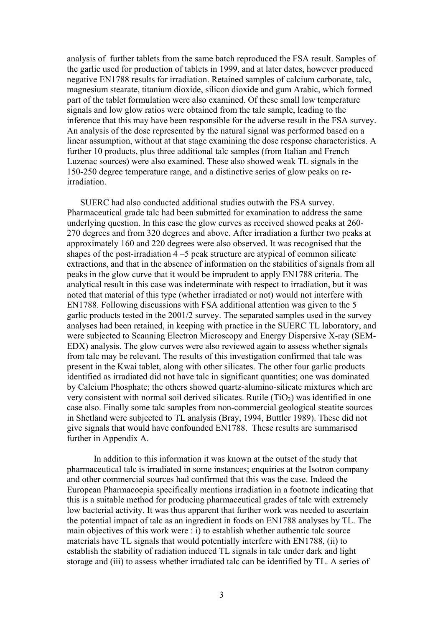analysis of further tablets from the same batch reproduced the FSA result. Samples of the garlic used for production of tablets in 1999, and at later dates, however produced negative EN1788 results for irradiation. Retained samples of calcium carbonate, talc, magnesium stearate, titanium dioxide, silicon dioxide and gum Arabic, which formed part of the tablet formulation were also examined. Of these small low temperature signals and low glow ratios were obtained from the talc sample, leading to the inference that this may have been responsible for the adverse result in the FSA survey. An analysis of the dose represented by the natural signal was performed based on a linear assumption, without at that stage examining the dose response characteristics. A further 10 products, plus three additional talc samples (from Italian and French Luzenac sources) were also examined. These also showed weak TL signals in the 150-250 degree temperature range, and a distinctive series of glow peaks on reirradiation.

SUERC had also conducted additional studies outwith the FSA survey. Pharmaceutical grade talc had been submitted for examination to address the same underlying question. In this case the glow curves as received showed peaks at 260- 270 degrees and from 320 degrees and above. After irradiation a further two peaks at approximately 160 and 220 degrees were also observed. It was recognised that the shapes of the post-irradiation  $4 - 5$  peak structure are atypical of common silicate extractions, and that in the absence of information on the stabilities of signals from all peaks in the glow curve that it would be imprudent to apply EN1788 criteria. The analytical result in this case was indeterminate with respect to irradiation, but it was noted that material of this type (whether irradiated or not) would not interfere with EN1788. Following discussions with FSA additional attention was given to the 5 garlic products tested in the 2001/2 survey. The separated samples used in the survey analyses had been retained, in keeping with practice in the SUERC TL laboratory, and were subjected to Scanning Electron Microscopy and Energy Dispersive X-ray (SEM-EDX) analysis. The glow curves were also reviewed again to assess whether signals from talc may be relevant. The results of this investigation confirmed that talc was present in the Kwai tablet, along with other silicates. The other four garlic products identified as irradiated did not have talc in significant quantities; one was dominated by Calcium Phosphate; the others showed quartz-alumino-silicate mixtures which are very consistent with normal soil derived silicates. Rutile  $(TiO<sub>2</sub>)$  was identified in one case also. Finally some talc samples from non-commercial geological steatite sources in Shetland were subjected to TL analysis (Bray, 1994, Buttler 1989). These did not give signals that would have confounded EN1788. These results are summarised further in Appendix A.

In addition to this information it was known at the outset of the study that pharmaceutical talc is irradiated in some instances; enquiries at the Isotron company and other commercial sources had confirmed that this was the case. Indeed the European Pharmacoepia specifically mentions irradiation in a footnote indicating that this is a suitable method for producing pharmaceutical grades of talc with extremely low bacterial activity. It was thus apparent that further work was needed to ascertain the potential impact of talc as an ingredient in foods on EN1788 analyses by TL. The main objectives of this work were : i) to establish whether authentic talc source materials have TL signals that would potentially interfere with EN1788, (ii) to establish the stability of radiation induced TL signals in talc under dark and light storage and (iii) to assess whether irradiated talc can be identified by TL. A series of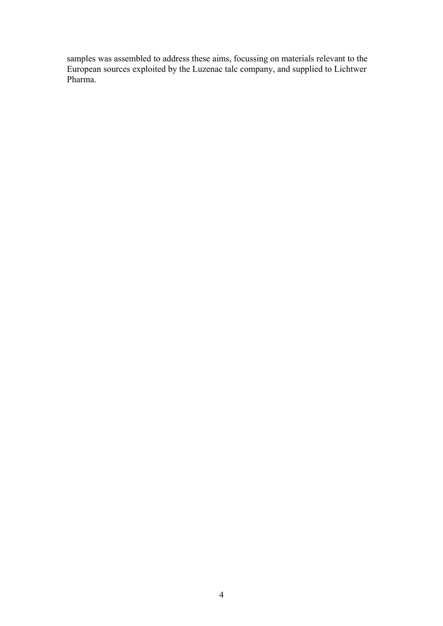samples was assembled to address these aims, focussing on materials relevant to the European sources exploited by the Luzenac talc company, and supplied to Lichtwer Pharma.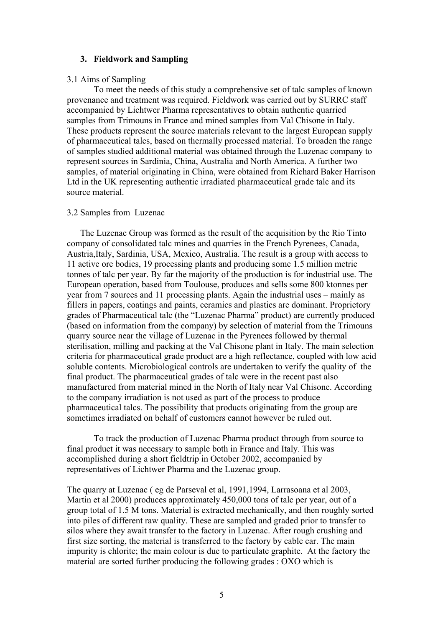### **3. Fieldwork and Sampling**

#### 3.1 Aims of Sampling

To meet the needs of this study a comprehensive set of talc samples of known provenance and treatment was required. Fieldwork was carried out by SURRC staff accompanied by Lichtwer Pharma representatives to obtain authentic quarried samples from Trimouns in France and mined samples from Val Chisone in Italy. These products represent the source materials relevant to the largest European supply of pharmaceutical talcs, based on thermally processed material. To broaden the range of samples studied additional material was obtained through the Luzenac company to represent sources in Sardinia, China, Australia and North America. A further two samples, of material originating in China, were obtained from Richard Baker Harrison Ltd in the UK representing authentic irradiated pharmaceutical grade talc and its source material.

#### 3.2 Samples from Luzenac

The Luzenac Group was formed as the result of the acquisition by the Rio Tinto company of consolidated talc mines and quarries in the French Pyrenees, Canada, Austria,Italy, Sardinia, USA, Mexico, Australia. The result is a group with access to 11 active ore bodies, 19 processing plants and producing some 1.5 million metric tonnes of talc per year. By far the majority of the production is for industrial use. The European operation, based from Toulouse, produces and sells some 800 ktonnes per year from 7 sources and 11 processing plants. Again the industrial uses – mainly as fillers in papers, coatings and paints, ceramics and plastics are dominant. Proprietory grades of Pharmaceutical talc (the "Luzenac Pharma" product) are currently produced (based on information from the company) by selection of material from the Trimouns quarry source near the village of Luzenac in the Pyrenees followed by thermal sterilisation, milling and packing at the Val Chisone plant in Italy. The main selection criteria for pharmaceutical grade product are a high reflectance, coupled with low acid soluble contents. Microbiological controls are undertaken to verify the quality of the final product. The pharmaceutical grades of talc were in the recent past also manufactured from material mined in the North of Italy near Val Chisone. According to the company irradiation is not used as part of the process to produce pharmaceutical talcs. The possibility that products originating from the group are sometimes irradiated on behalf of customers cannot however be ruled out.

To track the production of Luzenac Pharma product through from source to final product it was necessary to sample both in France and Italy. This was accomplished during a short fieldtrip in October 2002, accompanied by representatives of Lichtwer Pharma and the Luzenac group.

The quarry at Luzenac ( eg de Parseval et al, 1991,1994, Larrasoana et al 2003, Martin et al 2000) produces approximately 450,000 tons of talc per year, out of a group total of 1.5 M tons. Material is extracted mechanically, and then roughly sorted into piles of different raw quality. These are sampled and graded prior to transfer to silos where they await transfer to the factory in Luzenac. After rough crushing and first size sorting, the material is transferred to the factory by cable car. The main impurity is chlorite; the main colour is due to particulate graphite. At the factory the material are sorted further producing the following grades : OXO which is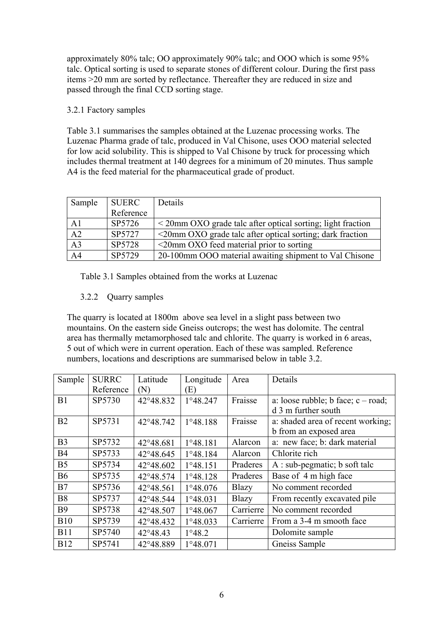approximately 80% talc; OO approximately 90% talc; and OOO which is some 95% talc. Optical sorting is used to separate stones of different colour. During the first pass items >20 mm are sorted by reflectance. Thereafter they are reduced in size and passed through the final CCD sorting stage.

3.2.1 Factory samples

Table 3.1 summarises the samples obtained at the Luzenac processing works. The Luzenac Pharma grade of talc, produced in Val Chisone, uses OOO material selected for low acid solubility. This is shipped to Val Chisone by truck for processing which includes thermal treatment at 140 degrees for a minimum of 20 minutes. Thus sample A4 is the feed material for the pharmaceutical grade of product.

| Sample          | <b>SUERC</b> | Details                                                          |
|-----------------|--------------|------------------------------------------------------------------|
|                 | Reference    |                                                                  |
| A <sub>1</sub>  | SP5726       | $\leq$ 20mm OXO grade talc after optical sorting; light fraction |
| $\overline{A2}$ | SP5727       | $\leq$ 20mm OXO grade talc after optical sorting; dark fraction  |
| $\overline{A3}$ | SP5728       | $\leq$ 20mm OXO feed material prior to sorting                   |
| A <sup>4</sup>  | SP5729       | 20-100mm OOO material awaiting shipment to Val Chisone           |

Table 3.1 Samples obtained from the works at Luzenac

# 3.2.2 Quarry samples

The quarry is located at 1800m above sea level in a slight pass between two mountains. On the eastern side Gneiss outcrops; the west has dolomite. The central area has thermally metamorphosed talc and chlorite. The quarry is worked in 6 areas, 5 out of which were in current operation. Each of these was sampled. Reference numbers, locations and descriptions are summarised below in table 3.2.

| Sample         | <b>SURRC</b> | Latitude  | Longitude | Area         | Details                               |
|----------------|--------------|-----------|-----------|--------------|---------------------------------------|
|                | Reference    | (N)       | (E)       |              |                                       |
| B <sub>1</sub> | SP5730       | 42°48.832 | 1°48.247  | Fraisse      | a: loose rubble; b face; $c - road$ ; |
|                |              |           |           |              | d 3 m further south                   |
| B <sub>2</sub> | SP5731       | 42°48.742 | 1°48.188  | Fraisse      | a: shaded area of recent working;     |
|                |              |           |           |              | b from an exposed area                |
| B <sub>3</sub> | SP5732       | 42°48.681 | 1°48.181  | Alarcon      | a: new face; b: dark material         |
| <b>B4</b>      | SP5733       | 42°48.645 | 1°48.184  | Alarcon      | Chlorite rich                         |
| B <sub>5</sub> | SP5734       | 42°48.602 | 1°48.151  | Praderes     | $A:$ sub-pegmatic; b soft tale        |
| <b>B6</b>      | SP5735       | 42°48.574 | 1°48.128  | Praderes     | Base of 4 m high face                 |
| B7             | SP5736       | 42°48.561 | 1°48.076  | <b>Blazy</b> | No comment recorded                   |
| <b>B8</b>      | SP5737       | 42°48.544 | 1°48.031  | Blazy        | From recently excavated pile          |
| <b>B</b> 9     | SP5738       | 42°48.507 | 1°48.067  | Carrierre    | No comment recorded                   |
| <b>B10</b>     | SP5739       | 42°48.432 | 1°48.033  | Carrierre    | From a 3-4 m smooth face              |
| <b>B11</b>     | SP5740       | 42°48.43  | 1°48.2    |              | Dolomite sample                       |
| <b>B12</b>     | SP5741       | 42°48.889 | 1°48.071  |              | Gneiss Sample                         |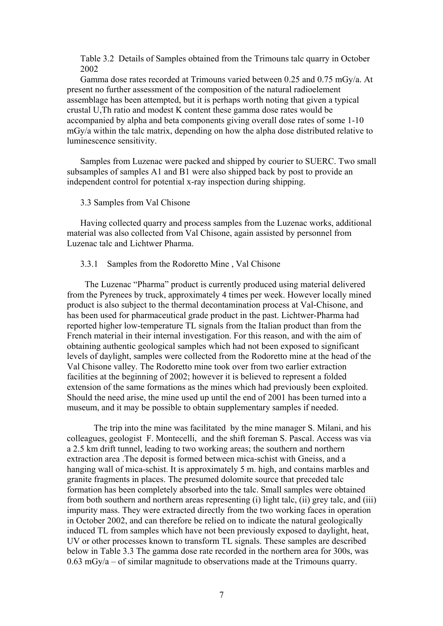Table 3.2 Details of Samples obtained from the Trimouns talc quarry in October 2002

Gamma dose rates recorded at Trimouns varied between 0.25 and 0.75 mGy/a. At present no further assessment of the composition of the natural radioelement assemblage has been attempted, but it is perhaps worth noting that given a typical crustal U,Th ratio and modest K content these gamma dose rates would be accompanied by alpha and beta components giving overall dose rates of some 1-10 mGy/a within the talc matrix, depending on how the alpha dose distributed relative to luminescence sensitivity.

Samples from Luzenac were packed and shipped by courier to SUERC. Two small subsamples of samples A1 and B1 were also shipped back by post to provide an independent control for potential x-ray inspection during shipping.

#### 3.3 Samples from Val Chisone

Having collected quarry and process samples from the Luzenac works, additional material was also collected from Val Chisone, again assisted by personnel from Luzenac talc and Lichtwer Pharma.

### 3.3.1 Samples from the Rodoretto Mine , Val Chisone

 The Luzenac "Pharma" product is currently produced using material delivered from the Pyrenees by truck, approximately 4 times per week. However locally mined product is also subject to the thermal decontamination process at Val-Chisone, and has been used for pharmaceutical grade product in the past. Lichtwer-Pharma had reported higher low-temperature TL signals from the Italian product than from the French material in their internal investigation. For this reason, and with the aim of obtaining authentic geological samples which had not been exposed to significant levels of daylight, samples were collected from the Rodoretto mine at the head of the Val Chisone valley. The Rodoretto mine took over from two earlier extraction facilities at the beginning of 2002; however it is believed to represent a folded extension of the same formations as the mines which had previously been exploited. Should the need arise, the mine used up until the end of 2001 has been turned into a museum, and it may be possible to obtain supplementary samples if needed.

The trip into the mine was facilitated by the mine manager S. Milani, and his colleagues, geologist F. Montecelli, and the shift foreman S. Pascal. Access was via a 2.5 km drift tunnel, leading to two working areas; the southern and northern extraction area .The deposit is formed between mica-schist with Gneiss, and a hanging wall of mica-schist. It is approximately 5 m. high, and contains marbles and granite fragments in places. The presumed dolomite source that preceded talc formation has been completely absorbed into the talc. Small samples were obtained from both southern and northern areas representing (i) light talc, (ii) grey talc, and (iii) impurity mass. They were extracted directly from the two working faces in operation in October 2002, and can therefore be relied on to indicate the natural geologically induced TL from samples which have not been previously exposed to daylight, heat, UV or other processes known to transform TL signals. These samples are described below in Table 3.3 The gamma dose rate recorded in the northern area for 300s, was  $0.63$  mGy/a – of similar magnitude to observations made at the Trimouns quarry.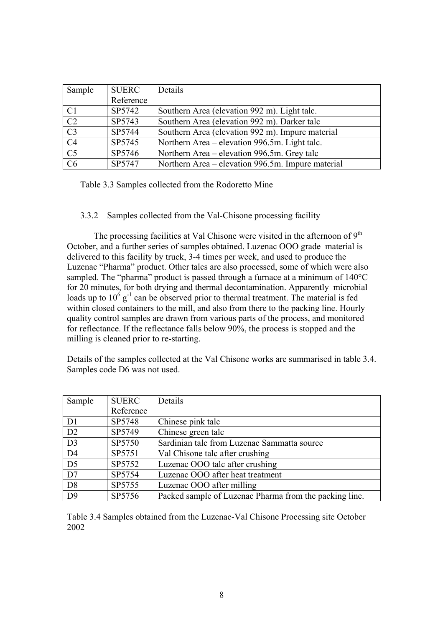| Sample          | <b>SUERC</b> | Details                                           |
|-----------------|--------------|---------------------------------------------------|
|                 | Reference    |                                                   |
| C <sub>1</sub>  | SP5742       | Southern Area (elevation 992 m). Light talc.      |
| $\overline{C2}$ | SP5743       | Southern Area (elevation 992 m). Darker talc      |
| $\overline{C}3$ | SP5744       | Southern Area (elevation 992 m). Impure material  |
| C <sub>4</sub>  | SP5745       | Northern Area – elevation 996.5m. Light talc.     |
| C <sub>5</sub>  | SP5746       | Northern Area – elevation 996.5m. Grey talc       |
| C6              | SP5747       | Northern Area – elevation 996.5m. Impure material |

Table 3.3 Samples collected from the Rodoretto Mine

## 3.3.2 Samples collected from the Val-Chisone processing facility

The processing facilities at Val Chisone were visited in the afternoon of  $9<sup>th</sup>$ October, and a further series of samples obtained. Luzenac OOO grade material is delivered to this facility by truck, 3-4 times per week, and used to produce the Luzenac "Pharma" product. Other talcs are also processed, some of which were also sampled. The "pharma" product is passed through a furnace at a minimum of 140 °C for 20 minutes, for both drying and thermal decontamination. Apparently microbial loads up to  $10^6$  g<sup>-1</sup> can be observed prior to thermal treatment. The material is fed within closed containers to the mill, and also from there to the packing line. Hourly quality control samples are drawn from various parts of the process, and monitored for reflectance. If the reflectance falls below 90%, the process is stopped and the milling is cleaned prior to re-starting.

Details of the samples collected at the Val Chisone works are summarised in table 3.4. Samples code D6 was not used.

| Sample          | <b>SUERC</b> | Details                                                |
|-----------------|--------------|--------------------------------------------------------|
|                 | Reference    |                                                        |
| D <sub>1</sub>  | SP5748       | Chinese pink talc                                      |
| D2              | SP5749       | Chinese green talc                                     |
| D <sub>3</sub>  | SP5750       | Sardinian talc from Luzenac Sammatta source            |
| D4              | SP5751       | Val Chisone talc after crushing                        |
| $\overline{D5}$ | SP5752       | Luzenac OOO talc after crushing                        |
| D7              | SP5754       | Luzenac OOO after heat treatment                       |
| D <sub>8</sub>  | SP5755       | Luzenac OOO after milling                              |
| D <sub>9</sub>  | SP5756       | Packed sample of Luzenac Pharma from the packing line. |

Table 3.4 Samples obtained from the Luzenac-Val Chisone Processing site October 2002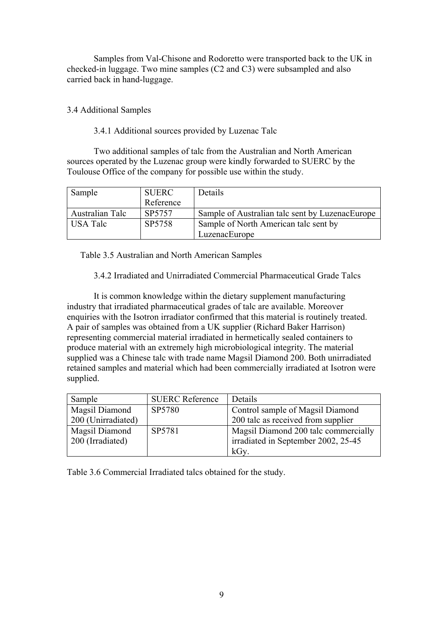Samples from Val-Chisone and Rodoretto were transported back to the UK in checked-in luggage. Two mine samples (C2 and C3) were subsampled and also carried back in hand-luggage.

## 3.4 Additional Samples

## 3.4.1 Additional sources provided by Luzenac Talc

Two additional samples of talc from the Australian and North American sources operated by the Luzenac group were kindly forwarded to SUERC by the Toulouse Office of the company for possible use within the study.

| Sample          | <b>SUERC</b> | Details                                         |
|-----------------|--------------|-------------------------------------------------|
|                 | Reference    |                                                 |
| Australian Talc | SP5757       | Sample of Australian talc sent by LuzenacEurope |
| <b>USA Talc</b> | SP5758       | Sample of North American talc sent by           |
|                 |              | LuzenacEurope                                   |

Table 3.5 Australian and North American Samples

3.4.2 Irradiated and Unirradiated Commercial Pharmaceutical Grade Talcs

It is common knowledge within the dietary supplement manufacturing industry that irradiated pharmaceutical grades of talc are available. Moreover enquiries with the Isotron irradiator confirmed that this material is routinely treated. A pair of samples was obtained from a UK supplier (Richard Baker Harrison) representing commercial material irradiated in hermetically sealed containers to produce material with an extremely high microbiological integrity. The material supplied was a Chinese talc with trade name Magsil Diamond 200. Both unirradiated retained samples and material which had been commercially irradiated at Isotron were supplied.

| Sample             | <b>SUERC Reference</b> | Details                              |
|--------------------|------------------------|--------------------------------------|
| Magsil Diamond     | SP5780                 | Control sample of Magsil Diamond     |
| 200 (Unirradiated) |                        | 200 talc as received from supplier   |
| Magsil Diamond     | SP5781                 | Magsil Diamond 200 talc commercially |
| 200 (Irradiated)   |                        | irradiated in September 2002, 25-45  |
|                    |                        | kGy.                                 |

Table 3.6 Commercial Irradiated talcs obtained for the study.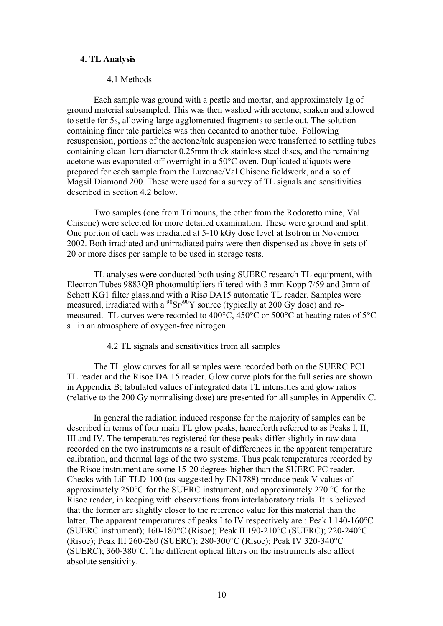### **4. TL Analysis**

#### 4.1 Methods

Each sample was ground with a pestle and mortar, and approximately 1g of ground material subsampled. This was then washed with acetone, shaken and allowed to settle for 5s, allowing large agglomerated fragments to settle out. The solution containing finer talc particles was then decanted to another tube. Following resuspension, portions of the acetone/talc suspension were transferred to settling tubes containing clean 1cm diameter 0.25mm thick stainless steel discs, and the remaining acetone was evaporated off overnight in a 50°C oven. Duplicated aliquots were prepared for each sample from the Luzenac/Val Chisone fieldwork, and also of Magsil Diamond 200. These were used for a survey of TL signals and sensitivities described in section 4.2 below.

Two samples (one from Trimouns, the other from the Rodoretto mine, Val Chisone) were selected for more detailed examination. These were ground and split. One portion of each was irradiated at 5-10 kGy dose level at Isotron in November 2002. Both irradiated and unirradiated pairs were then dispensed as above in sets of 20 or more discs per sample to be used in storage tests.

TL analyses were conducted both using SUERC research TL equipment, with Electron Tubes 9883QB photomultipliers filtered with 3 mm Kopp 7/59 and 3mm of Schott KG1 filter glass,and with a Risø DA15 automatic TL reader. Samples were measured, irradiated with a  $^{90}Sr/^{90}Y$  source (typically at 200 Gy dose) and remeasured. TL curves were recorded to 400°C, 450°C or 500°C at heating rates of 5°C  $s<sup>-1</sup>$  in an atmosphere of oxygen-free nitrogen.

#### 4.2 TL signals and sensitivities from all samples

The TL glow curves for all samples were recorded both on the SUERC PC1 TL reader and the Risoe DA 15 reader. Glow curve plots for the full series are shown in Appendix B; tabulated values of integrated data TL intensities and glow ratios (relative to the 200 Gy normalising dose) are presented for all samples in Appendix C.

In general the radiation induced response for the majority of samples can be described in terms of four main TL glow peaks, henceforth referred to as Peaks I, II, III and IV. The temperatures registered for these peaks differ slightly in raw data recorded on the two instruments as a result of differences in the apparent temperature calibration, and thermal lags of the two systems. Thus peak temperatures recorded by the Risoe instrument are some 15-20 degrees higher than the SUERC PC reader. Checks with LiF TLD-100 (as suggested by EN1788) produce peak V values of approximately 250°C for the SUERC instrument, and approximately 270 °C for the Risoe reader, in keeping with observations from interlaboratory trials. It is believed that the former are slightly closer to the reference value for this material than the latter. The apparent temperatures of peaks I to IV respectively are : Peak I 140-160°C (SUERC instrument); 160-180°C (Risoe); Peak II 190-210°C (SUERC); 220-240°C (Risoe); Peak III 260-280 (SUERC); 280-300°C (Risoe); Peak IV 320-340°C (SUERC); 360-380°C. The different optical filters on the instruments also affect absolute sensitivity.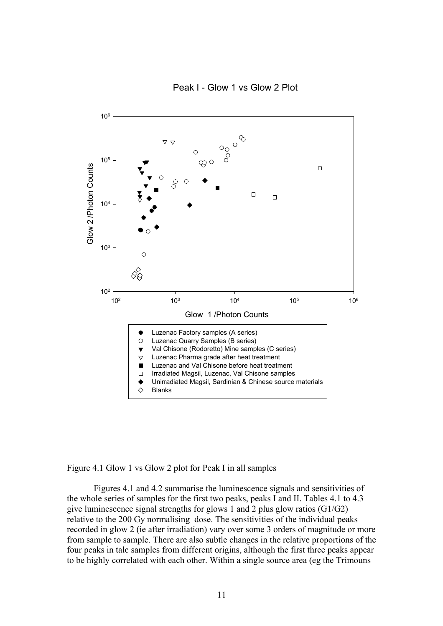

Peak I - Glow 1 vs Glow 2 Plot

Figure 4.1 Glow 1 vs Glow 2 plot for Peak I in all samples

Figures 4.1 and 4.2 summarise the luminescence signals and sensitivities of the wh ole series of samples for the first two peaks, peaks I and II. Tables 4.1 to 4.3 relative to the 200 Gy normalising dose. The sensitivities of the individual peaks recorded in glow 2 (ie after irradiation) vary over some 3 orders of magnitude or more give luminescence signal strengths for glows 1 and 2 plus glow ratios (G1/G2) from sample to sample. There are also subtle changes in the relative proportions of the four peaks in talc samples from different origins, although the first three peaks appear to be highly correlated with each other. Within a single source area (eg the Trimouns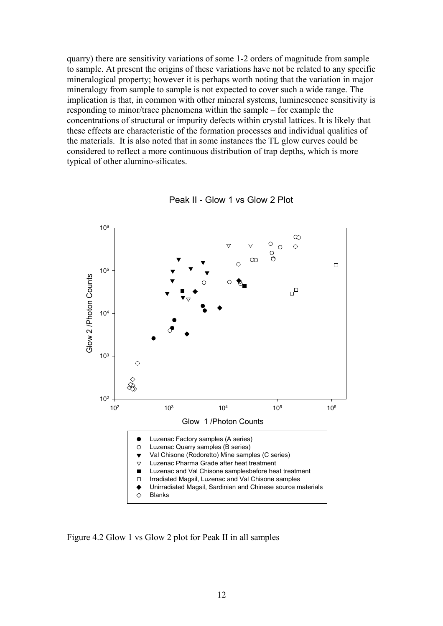quarry) there are sensitivity variations of some 1-2 orders of magnitude from sample to sample. At present the origins of these variations have not be related to any specific mineralogical property; however it is perhaps worth noting that the variation in major mineralogy from sample to sample is not expected to cover such a wide range. The implication is that, in common with other mineral systems, luminescence sensitivity is responding to minor/trace phenomena within the sample – for example the concentrations of structural or impurity defects within crystal lattices. It is li kely that these effects are characteristic of the formation processes and individual qualities of the materials. It is also noted that in some instances the TL glow curves could be considered to reflect a more continuous distribution of trap depths, which is more typical of other alumino-silicates.





Figure 4.2 Glow 1 vs Glow 2 plot for Peak II in all samples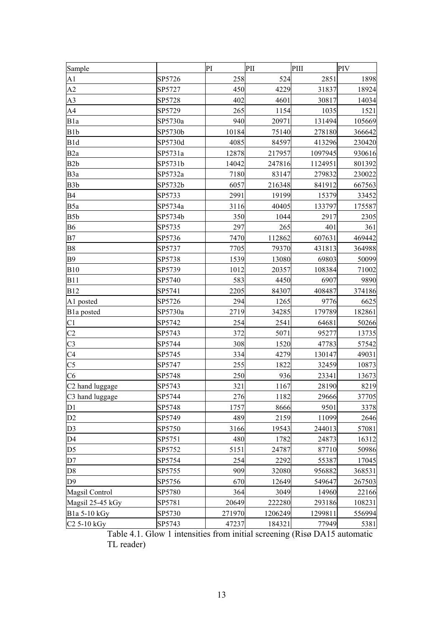| Sample                  |         | PI     | PII     | PIII    | PIV    |
|-------------------------|---------|--------|---------|---------|--------|
| A1                      | SP5726  | 258    | 524     | 2851    | 1898   |
| A2                      | SP5727  | 450    | 4229    | 31837   | 18924  |
| A <sub>3</sub>          | SP5728  | 402    | 4601    | 30817   | 14034  |
| A <sub>4</sub>          | SP5729  | 265    | 1154    | 1035    | 1521   |
| B <sub>1</sub> a        | SP5730a | 940    | 20971   | 131494  | 105669 |
| B <sub>1</sub> b        | SP5730b | 10184  | 75140   | 278180  | 366642 |
| B1d                     | SP5730d | 4085   | 84597   | 413296  | 230420 |
| B <sub>2a</sub>         | SP5731a | 12878  | 217957  | 1097945 | 930616 |
| B <sub>2</sub> b        | SP5731b | 14042  | 247816  | 1124951 | 801392 |
| B <sub>3</sub> a        | SP5732a | 7180   | 83147   | 279832  | 230022 |
| B <sub>3</sub> b        | SP5732b | 6057   | 216348  | 841912  | 667563 |
| <b>B4</b>               | SP5733  | 2991   | 19199   | 15379   | 33452  |
| B5a                     | SP5734a | 3116   | 40405   | 133797  | 175587 |
| B5b                     | SP5734b | 350    | 1044    | 2917    | 2305   |
| <b>B6</b>               | SP5735  | 297    | 265     | 401     | 361    |
| B7                      | SP5736  | 7470   | 112862  | 607631  | 469442 |
| <b>B</b> 8              | SP5737  | 7705   | 79370   | 431813  | 364988 |
| <b>B9</b>               | SP5738  | 1539   | 13080   | 69803   | 50099  |
| <b>B10</b>              | SP5739  | 1012   | 20357   | 108384  | 71002  |
| <b>B11</b>              | SP5740  | 583    | 4450    | 6907    | 9890   |
| <b>B12</b>              | SP5741  | 2205   | 84307   | 408487  | 374186 |
| A1 posted               | SP5726  | 294    | 1265    | 9776    | 6625   |
| B1a posted              | SP5730a | 2719   | 34285   | 179789  | 182861 |
| C1                      | SP5742  | 254    | 2541    | 64681   | 50266  |
| C <sub>2</sub>          | SP5743  | 372    | 5071    | 95277   | 13735  |
| C <sub>3</sub>          | SP5744  | 308    | 1520    | 47783   | 57542  |
| C <sub>4</sub>          | SP5745  | 334    | 4279    | 130147  | 49031  |
| C <sub>5</sub>          | SP5747  | 255    | 1822    | 32459   | 10873  |
| C6                      | SP5748  | 250    | 936     | 23341   | 13673  |
| C2 hand luggage         | SP5743  | 321    | 1167    | 28190   | 8219   |
| C3 hand luggage         | SP5744  | 276    | 1182    | 29666   | 37705  |
| D1                      | SP5748  | 1757   | 8666    | 9501    | 3378   |
| D2                      | SP5749  | 489    | 2159    | 11099   | 2646   |
| D <sub>3</sub>          | SP5750  | 3166   | 19543   | 244013  | 57081  |
| D4                      | SP5751  | 480    | 1782    | 24873   | 16312  |
| D <sub>5</sub>          | SP5752  | 5151   | 24787   | 87710   | 50986  |
| D7                      | SP5754  | 254    | 2292    | 55387   | 17045  |
| D <sub>8</sub>          | SP5755  | 909    | 32080   | 956882  | 368531 |
| D <sub>9</sub>          | SP5756  | 670    | 12649   | 549647  | 267503 |
| Magsil Control          | SP5780  | 364    | 3049    | 14960   | 22166  |
| Magsil 25-45 kGy        | SP5781  | 20649  | 222280  | 293186  | 108231 |
| B1a 5-10 kGy            | SP5730  | 271970 | 1206249 | 1299811 | 556994 |
| C <sub>2</sub> 5-10 kGy | SP5743  | 47237  | 184321  | 77949   | 5381   |

Table 4.1. Glow 1 intensities from initial screening (Risø DA15 automatic TL reader)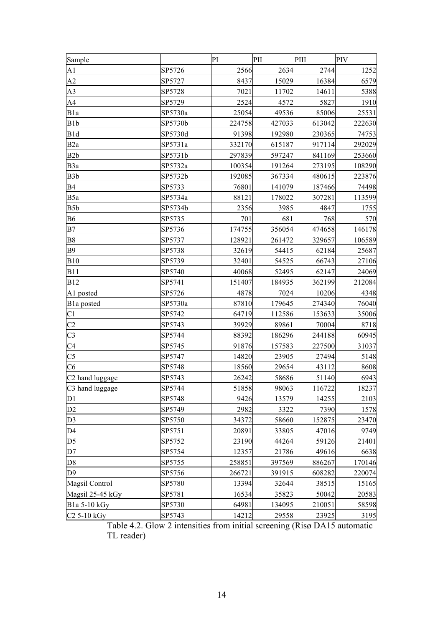| Sample                      |         | PI     | PII    | PIII   | PIV    |
|-----------------------------|---------|--------|--------|--------|--------|
| A <sub>1</sub>              | SP5726  | 2566   | 2634   | 2744   | 1252   |
| A2                          | SP5727  | 8437   | 15029  | 16384  | 6579   |
| A <sub>3</sub>              | SP5728  | 7021   | 11702  | 14611  | 5388   |
| A4                          | SP5729  | 2524   | 4572   | 5827   | 1910   |
| B <sub>1</sub> a            | SP5730a | 25054  | 49536  | 85006  | 25531  |
| B <sub>1</sub> b            | SP5730b | 224758 | 427033 | 613042 | 222630 |
| B1d                         | SP5730d | 91398  | 192980 | 230365 | 74753  |
| B <sub>2</sub> a            | SP5731a | 332170 | 615187 | 917114 | 292029 |
| B <sub>2</sub> b            | SP5731b | 297839 | 597247 | 841169 | 253660 |
| B3a                         | SP5732a | 100354 | 191264 | 273195 | 108290 |
| B <sub>3</sub> b            | SP5732b | 192085 | 367334 | 480615 | 223876 |
| <b>B4</b>                   | SP5733  | 76801  | 141079 | 187466 | 74498  |
| B5a                         | SP5734a | 88121  | 178022 | 307281 | 113599 |
| B <sub>5</sub> b            | SP5734b | 2356   | 3985   | 4847   | 1755   |
| <b>B6</b>                   | SP5735  | 701    | 681    | 768    | 570    |
| B7                          | SP5736  | 174755 | 356054 | 474658 | 146178 |
| <b>B8</b>                   | SP5737  | 128921 | 261472 | 329657 | 106589 |
| <b>B9</b>                   | SP5738  | 32619  | 54415  | 62184  | 25687  |
| <b>B10</b>                  | SP5739  | 32401  | 54525  | 66743  | 27106  |
| <b>B11</b>                  | SP5740  | 40068  | 52495  | 62147  | 24069  |
| <b>B12</b>                  | SP5741  | 151407 | 184935 | 362199 | 212084 |
| A1 posted                   | SP5726  | 4878   | 7024   | 10206  | 4348   |
| B1a posted                  | SP5730a | 87810  | 179645 | 274340 | 76040  |
| C1                          | SP5742  | 64719  | 112586 | 153633 | 35006  |
| C <sub>2</sub>              | SP5743  | 39929  | 89861  | 70004  | 8718   |
| C <sub>3</sub>              | SP5744  | 88392  | 186296 | 244188 | 60945  |
| C <sub>4</sub>              | SP5745  | 91876  | 157583 | 227500 | 31037  |
| C <sub>5</sub>              | SP5747  | 14820  | 23905  | 27494  | 5148   |
| C6                          | SP5748  | 18560  | 29654  | 43112  | 8608   |
| C2 hand luggage             | SP5743  | 26242  | 58686  | 51140  | 6943   |
| C <sub>3</sub> hand luggage | SP5744  | 51858  | 98063  | 116722 | 18237  |
| D1                          | SP5748  | 9426   | 13579  | 14255  | 2103   |
| D2                          | SP5749  | 2982   | 3322   | 7390   | 1578   |
| D3                          | SP5750  | 34372  | 58660  | 152875 | 23470  |
| D4                          | SP5751  | 20891  | 33805  | 47016  | 9749   |
| D <sub>5</sub>              | SP5752  | 23190  | 44264  | 59126  | 21401  |
| D7                          | SP5754  | 12357  | 21786  | 49616  | 6638   |
| D <sub>8</sub>              | SP5755  | 258851 | 397569 | 886267 | 170146 |
| D <sub>9</sub>              | SP5756  | 266721 | 391915 | 608282 | 220074 |
| Magsil Control              | SP5780  | 13394  | 32644  | 38515  | 15165  |
| Magsil 25-45 kGy            | SP5781  | 16534  | 35823  | 50042  | 20583  |
| B1a 5-10 kGy                | SP5730  | 64981  | 134095 | 210051 | 58598  |
| C <sub>2</sub> 5-10 kGy     | SP5743  | 14212  | 29558  | 23925  | 3195   |

Table 4.2. Glow 2 intensities from initial screening (Risø DA15 automatic TL reader)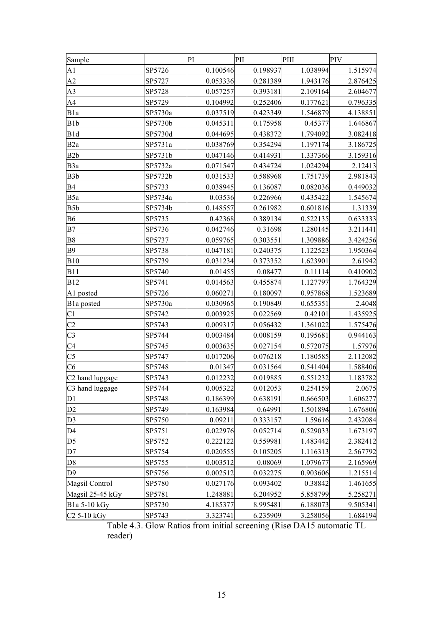| Sample                      |         | PI       | PII      | PIII     | PIV      |
|-----------------------------|---------|----------|----------|----------|----------|
| A <sub>1</sub>              | SP5726  | 0.100546 | 0.198937 | 1.038994 | 1.515974 |
| A2                          | SP5727  | 0.053336 | 0.281389 | 1.943176 | 2.876425 |
| A <sub>3</sub>              | SP5728  | 0.057257 | 0.393181 | 2.109164 | 2.604677 |
| A4                          | SP5729  | 0.104992 | 0.252406 | 0.177621 | 0.796335 |
| B1a                         | SP5730a | 0.037519 | 0.423349 | 1.546879 | 4.138851 |
| B <sub>1</sub> b            | SP5730b | 0.045311 | 0.175958 | 0.45377  | 1.646867 |
| B1d                         | SP5730d | 0.044695 | 0.438372 | 1.794092 | 3.082418 |
| B <sub>2</sub> a            | SP5731a | 0.038769 | 0.354294 | 1.197174 | 3.186725 |
| B <sub>2</sub> b            | SP5731b | 0.047146 | 0.414931 | 1.337366 | 3.159316 |
| B3a                         | SP5732a | 0.071547 | 0.434724 | 1.024294 | 2.12413  |
| B <sub>3</sub> b            | SP5732b | 0.031533 | 0.588968 | 1.751739 | 2.981843 |
| <b>B4</b>                   | SP5733  | 0.038945 | 0.136087 | 0.082036 | 0.449032 |
| B5a                         | SP5734a | 0.03536  | 0.226966 | 0.435422 | 1.545674 |
| B <sub>5</sub> b            | SP5734b | 0.148557 | 0.261982 | 0.601816 | 1.31339  |
| <b>B6</b>                   | SP5735  | 0.42368  | 0.389134 | 0.522135 | 0.633333 |
| B7                          | SP5736  | 0.042746 | 0.31698  | 1.280145 | 3.211441 |
| <b>B</b> 8                  | SP5737  | 0.059765 | 0.303551 | 1.309886 | 3.424256 |
| <b>B9</b>                   | SP5738  | 0.047181 | 0.240375 | 1.122523 | 1.950364 |
| <b>B10</b>                  | SP5739  | 0.031234 | 0.373352 | 1.623901 | 2.61942  |
| <b>B11</b>                  | SP5740  | 0.01455  | 0.08477  | 0.11114  | 0.410902 |
| <b>B12</b>                  | SP5741  | 0.014563 | 0.455874 | 1.127797 | 1.764329 |
| A1 posted                   | SP5726  | 0.060271 | 0.180097 | 0.957868 | 1.523689 |
| B1a posted                  | SP5730a | 0.030965 | 0.190849 | 0.655351 | 2.4048   |
| C <sub>1</sub>              | SP5742  | 0.003925 | 0.022569 | 0.42101  | 1.435925 |
| C <sub>2</sub>              | SP5743  | 0.009317 | 0.056432 | 1.361022 | 1.575476 |
| C <sub>3</sub>              | SP5744  | 0.003484 | 0.008159 | 0.195681 | 0.944163 |
| C <sub>4</sub>              | SP5745  | 0.003635 | 0.027154 | 0.572075 | 1.57976  |
| C <sub>5</sub>              | SP5747  | 0.017206 | 0.076218 | 1.180585 | 2.112082 |
| C6                          | SP5748  | 0.01347  | 0.031564 | 0.541404 | 1.588406 |
| C <sub>2</sub> hand luggage | SP5743  | 0.012232 | 0.019885 | 0.551232 | 1.183782 |
| C3 hand luggage             | SP5744  | 0.005322 | 0.012053 | 0.254159 | 2.0675   |
| D1                          | SP5748  | 0.186399 | 0.638191 | 0.666503 | 1.606277 |
| D2                          | SP5749  | 0.163984 | 0.64991  | 1.501894 | 1.676806 |
| D3                          | SP5750  | 0.09211  | 0.333157 | 1.59616  | 2.432084 |
| D <sub>4</sub>              | SP5751  | 0.022976 | 0.052714 | 0.529033 | 1.673197 |
| D <sub>5</sub>              | SP5752  | 0.222122 | 0.559981 | 1.483442 | 2.382412 |
| D7                          | SP5754  | 0.020555 | 0.105205 | 1.116313 | 2.567792 |
| D <sub>8</sub>              | SP5755  | 0.003512 | 0.08069  | 1.079677 | 2.165969 |
| D <sub>9</sub>              | SP5756  | 0.002512 | 0.032275 | 0.903606 | 1.215514 |
| Magsil Control              | SP5780  | 0.027176 | 0.093402 | 0.38842  | 1.461655 |
| Magsil 25-45 kGy            | SP5781  | 1.248881 | 6.204952 | 5.858799 | 5.258271 |
| B1a 5-10 kGy                | SP5730  | 4.185377 | 8.995481 | 6.188073 | 9.505341 |
| C <sub>2</sub> 5-10 kGy     | SP5743  | 3.323741 | 6.235909 | 3.258056 | 1.684194 |

Table 4.3. Glow Ratios from initial screening (Risø DA15 automatic TL reader)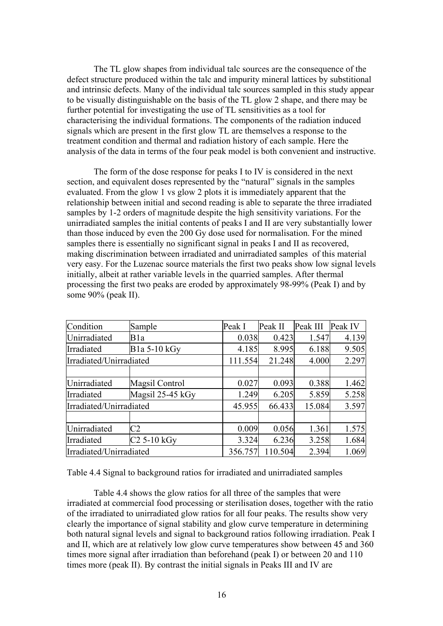The TL glow shapes from individual talc sources are the consequence of the defect structure produced within the talc and impurity mineral lattices by substitional and intrinsic defects. Many of the individual talc sources sampled in this study appear to be visually distinguishable on the basis of the TL glow 2 shape, and there may be further potential for investigating the use of TL sensitivities as a tool for characterising the individual formations. The components of the radiation induced signals which are present in the first glow TL are themselves a response to the treatment condition and thermal and radiation history of each sample. Here the analysis of the data in terms of the four peak model is both convenient and instructive.

The form of the dose response for peaks I to IV is considered in the next section, and equivalent doses represented by the "natural" signals in the samples evaluated. From the glow 1 vs glow 2 plots it is immediately apparent that the relationship between initial and second reading is able to separate the three irradiated samples by 1-2 orders of magnitude despite the high sensitivity variations. For the unirradiated samples the initial contents of peaks I and II are very substantially lower than those induced by even the 200 Gy dose used for normalisation. For the mined samples there is essentially no significant signal in peaks I and II as recovered, making discrimination between irradiated and unirradiated samples of this material very easy. For the Luzenac source materials the first two peaks show low signal levels initially, albeit at rather variable levels in the quarried samples. After thermal processing the first two peaks are eroded by approximately 98-99% (Peak I) and by some 90% (peak II).

| Condition               | Sample           | Peak I  | Peak II | Peak III | Peak IV |
|-------------------------|------------------|---------|---------|----------|---------|
| Unirradiated            | B1a              | 0.038   | 0.423   | 1.547    | 4.139   |
| Irradiated              | B1a 5-10 kGy     | 4.185   | 8.995   | 6.188    | 9.505   |
| Irradiated/Unirradiated |                  | 111.554 | 21.248  | 4.000    | 2.297   |
|                         |                  |         |         |          |         |
| Unirradiated            | Magsil Control   | 0.027   | 0.093   | 0.388    | 1.462   |
| Irradiated              | Magsil 25-45 kGy | 1.249   | 6.205   | 5.859    | 5.258   |
| Irradiated/Unirradiated |                  | 45.955  | 66.433  | 15.084   | 3.597   |
|                         |                  |         |         |          |         |
| Unirradiated            | C2               | 0.009   | 0.056   | 1.361    | 1.575   |
| Irradiated              | $C2$ 5-10 kGy    | 3.324   | 6.236   | 3.258    | 1.684   |
| Irradiated/Unirradiated | 356.757          | 110.504 | 2.394   | 1.069    |         |

Table 4.4 Signal to background ratios for irradiated and unirradiated samples

Table 4.4 shows the glow ratios for all three of the samples that were irradiated at commercial food processing or sterilisation doses, together with the ratio of the irradiated to unirradiated glow ratios for all four peaks. The results show very clearly the importance of signal stability and glow curve temperature in determining both natural signal levels and signal to background ratios following irradiation. Peak I and II, which are at relatively low glow curve temperatures show between 45 and 360 times more signal after irradiation than beforehand (peak I) or between 20 and 110 times more (peak II). By contrast the initial signals in Peaks III and IV are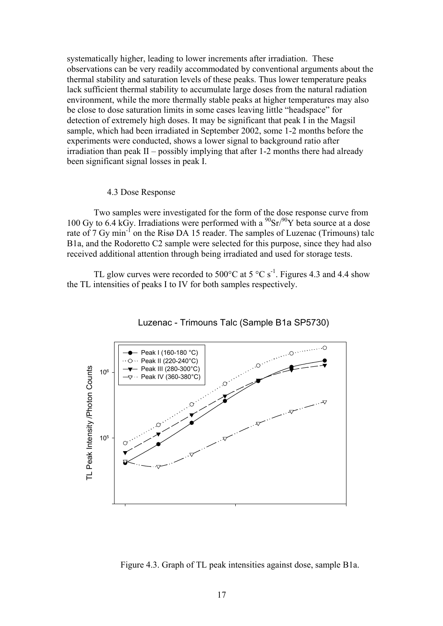systematically higher, leading to lower increments after irradiation. These observa tions can be very readily accommodated by conventional arguments about the be close to dose saturation limits in some cases leaving little "headspace" for sample, which had been irradiated in September 2002, some 1-2 months before the been significant signal losses in peak I. thermal stability and saturation levels of these peaks. Thus lower temperature peaks lack sufficient thermal stability to accumulate large doses from the natural radiation environment, while the more thermally stable peaks at higher temperatures may also detection of extremely high doses. It may be significant that peak I in the Magsil experiments were conducted, shows a lower signal to background ratio after irradiation than peak II – possibly implying that after 1-2 months there had already

#### 4.3 Dose Response

rate of 7 Gy min<sup>-1</sup> on the Risø DA 15 reader. The samples of Luzenac (Trimouns) talc B1a, and the Rodoretto C2 sample were selected for this purpose, since they had also Two samples were investigated for the form of the dose response curve from 100 Gy to 6.4 kGy. Irradiations were performed with a  $\rm{^{90}Sr/^{90}Y}$  beta source at a dose received additional attention through being irradiated and used for storage tests.

TL glow curves were recorded to 500 $^{\circ}$ C at 5  $^{\circ}$ C s<sup>-1</sup>. Figures 4.3 and 4.4 show the TL intensities of peaks I to IV for both samples respectively.



Luzenac - Trimouns Talc (Sample B1a SP5730)

Figure 4.3. Graph of TL peak intensities against dose, sample B1a.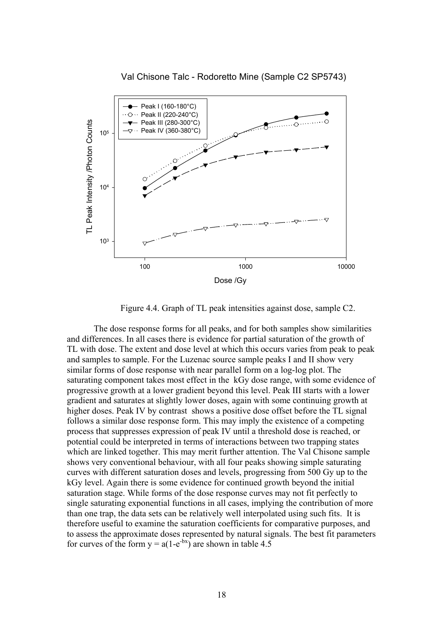#### Val Chisone Talc - Rodoretto Mine (Sample C2 SP5743)



Figure 4.4. Graph of TL peak intensities against dose, sample C2.

The dose response forms for all peaks, and for both samples show similarities and differences. In all cases there is evidence for partial saturation of the growth of TL with dose. The extent and dose level at which this occurs varies from peak to peak and samples to sample. For the Luzenac source sample peaks I and II show very similar forms of dose response with near parallel form on a log-log plot. The saturating component takes most effect in the kGy dose range, with some evidence of progressive growth at a lower gradient beyond this level. Peak III starts with a lower gradient and saturates at slightly lower doses, again with some continuing growth at higher doses. Peak IV by contrast shows a positive dose offset before the TL signal follows a similar dose response form. This may imply the existence of a competing process that suppresses expression of peak IV until a threshold dose is reached, or potential could be interpreted in terms of interactions between two trapping states which are linked together. This may merit further attention. The Val Chisone sample shows very conventional behaviour, with all four peaks showing simple saturating curves with different saturation doses and levels, progressing from 500 Gy up to the kGy level. Again there is some evidence for continued growth beyond the initial saturation stage. While forms of the dose response curves may not fit perfectly to single saturating exponential functions in all cases, implying the contribution of more than one trap, the data sets can be relatively well interpolated using such fits. It is therefore useful to examine the saturation coefficients for comparative purposes, and to assess the approximate doses represented by natural signals. The best fit parameters for curves of the form  $y = a(1-e^{-bx})$  are shown in table 4.5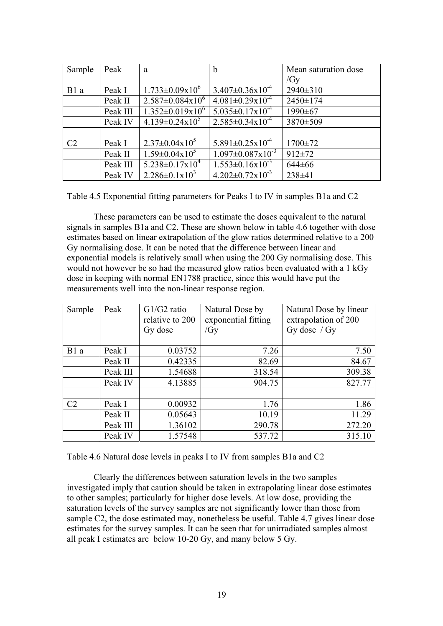| Sample         | Peak     | a                               | b                                | Mean saturation dose |
|----------------|----------|---------------------------------|----------------------------------|----------------------|
|                |          |                                 |                                  | /Gv                  |
| B1 a           | Peak I   | $1.733 \pm 0.09 \times 10^6$    | $3.407 \pm 0.36 \times 10^{-4}$  | 2940±310             |
|                | Peak II  | $2.587 \pm 0.084 \times 10^6$   | $4.081 \pm 0.29 \times 10^{-4}$  | 2450±174             |
|                | Peak III | $1.352 \pm 0.019 \times 10^{6}$ | $5.035 \pm 0.17 \times 10^{-4}$  | 1990±67              |
|                | Peak IV  | $4.139\pm0.24x10^5$             | $2.585 \pm 0.34 \times 10^{-4}$  | 3870±509             |
|                |          |                                 |                                  |                      |
| C <sub>2</sub> | Peak I   | $2.37 \pm 0.04 \times 10^5$     | $5.891 \pm 0.25 \times 10^{-4}$  | $1700 \pm 72$        |
|                | Peak II  | $1.59 \pm 0.04 \times 10^5$     | $1.097 \pm 0.087 \times 10^{-3}$ | $912 \pm 72$         |
|                | Peak III | $5.238 \pm 0.17 \times 10^4$    | $1.553 \pm 0.16 \times 10^{-3}$  | $644 \pm 66$         |
|                | Peak IV  | $2.286 \pm 0.1 \times 10^3$     | $4.202 \pm 0.72 \times 10^{-3}$  | $238 \pm 41$         |

Table 4.5 Exponential fitting parameters for Peaks I to IV in samples B1a and C2

These parameters can be used to estimate the doses equivalent to the natural signals in samples B1a and C2. These are shown below in table 4.6 together with dose estimates based on linear extrapolation of the glow ratios determined relative to a 200 Gy normalising dose. It can be noted that the difference between linear and exponential models is relatively small when using the 200 Gy normalising dose. This would not however be so had the measured glow ratios been evaluated with a 1 kGy dose in keeping with normal EN1788 practice, since this would have put the measurements well into the non-linear response region.

| Sample         | Peak     | $G1/G2$ ratio<br>relative to 200<br>Gy dose | Natural Dose by<br>exponential fitting<br>/ $Gy$ | Natural Dose by linear<br>extrapolation of 200<br>Gy dose $/Gy$ |
|----------------|----------|---------------------------------------------|--------------------------------------------------|-----------------------------------------------------------------|
| B1 a           | Peak I   | 0.03752                                     | 7.26                                             | 7.50                                                            |
|                | Peak II  | 0.42335                                     | 82.69                                            | 84.67                                                           |
|                | Peak III | 1.54688                                     | 318.54                                           | 309.38                                                          |
|                | Peak IV  | 4.13885                                     | 904.75                                           | 827.77                                                          |
|                |          |                                             |                                                  |                                                                 |
| C <sub>2</sub> | Peak I   | 0.00932                                     | 1.76                                             | 1.86                                                            |
|                | Peak II  | 0.05643                                     | 10.19                                            | 11.29                                                           |
|                | Peak III | 1.36102                                     | 290.78                                           | 272.20                                                          |
|                | Peak IV  | 1.57548                                     | 537.72                                           | 315.10                                                          |

Table 4.6 Natural dose levels in peaks I to IV from samples B1a and C2

Clearly the differences between saturation levels in the two samples investigated imply that caution should be taken in extrapolating linear dose estimates to other samples; particularly for higher dose levels. At low dose, providing the saturation levels of the survey samples are not significantly lower than those from sample C2, the dose estimated may, nonetheless be useful. Table 4.7 gives linear dose estimates for the survey samples. It can be seen that for unirradiated samples almost all peak I estimates are below 10-20 Gy, and many below 5 Gy.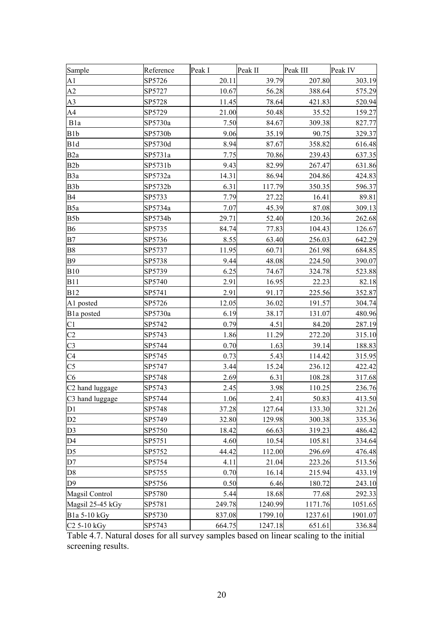| Sample                  | Reference | Peak I | Peak II | Peak III | Peak IV |
|-------------------------|-----------|--------|---------|----------|---------|
| A1                      | SP5726    | 20.11  | 39.79   | 207.80   | 303.19  |
| A2                      | SP5727    | 10.67  | 56.28   | 388.64   | 575.29  |
| A <sub>3</sub>          | SP5728    | 11.45  | 78.64   | 421.83   | 520.94  |
| A4                      | SP5729    | 21.00  | 50.48   | 35.52    | 159.27  |
| B1a                     | SP5730a   | 7.50   | 84.67   | 309.38   | 827.77  |
| B <sub>1</sub> b        | SP5730b   | 9.06   | 35.19   | 90.75    | 329.37  |
| B1d                     | SP5730d   | 8.94   | 87.67   | 358.82   | 616.48  |
| B <sub>2</sub> a        | SP5731a   | 7.75   | 70.86   | 239.43   | 637.35  |
| B <sub>2</sub> b        | SP5731b   | 9.43   | 82.99   | 267.47   | 631.86  |
| B3a                     | SP5732a   | 14.31  | 86.94   | 204.86   | 424.83  |
| B <sub>3</sub> b        | SP5732b   | 6.31   | 117.79  | 350.35   | 596.37  |
| <b>B4</b>               | SP5733    | 7.79   | 27.22   | 16.41    | 89.81   |
| B5a                     | SP5734a   | 7.07   | 45.39   | 87.08    | 309.13  |
| B5b                     | SP5734b   | 29.71  | 52.40   | 120.36   | 262.68  |
| <b>B6</b>               | SP5735    | 84.74  | 77.83   | 104.43   | 126.67  |
| B7                      | SP5736    | 8.55   | 63.40   | 256.03   | 642.29  |
| <b>B8</b>               | SP5737    | 11.95  | 60.71   | 261.98   | 684.85  |
| <b>B9</b>               | SP5738    | 9.44   | 48.08   | 224.50   | 390.07  |
| <b>B10</b>              | SP5739    | 6.25   | 74.67   | 324.78   | 523.88  |
| <b>B11</b>              | SP5740    | 2.91   | 16.95   | 22.23    | 82.18   |
| <b>B12</b>              | SP5741    | 2.91   | 91.17   | 225.56   | 352.87  |
| A1 posted               | SP5726    | 12.05  | 36.02   | 191.57   | 304.74  |
| B <sub>1</sub> a posted | SP5730a   | 6.19   | 38.17   | 131.07   | 480.96  |
| C1                      | SP5742    | 0.79   | 4.51    | 84.20    | 287.19  |
| C <sub>2</sub>          | SP5743    | 1.86   | 11.29   | 272.20   | 315.10  |
| C <sub>3</sub>          | SP5744    | 0.70   | 1.63    | 39.14    | 188.83  |
| C <sub>4</sub>          | SP5745    | 0.73   | 5.43    | 114.42   | 315.95  |
| C <sub>5</sub>          | SP5747    | 3.44   | 15.24   | 236.12   | 422.42  |
| C6                      | SP5748    | 2.69   | 6.31    | 108.28   | 317.68  |
| C2 hand luggage         | SP5743    | 2.45   | 3.98    | 110.25   | 236.76  |
| C3 hand luggage         | SP5744    | 1.06   | 2.41    | 50.83    | 413.50  |
| D1                      | SP5748    | 37.28  | 127.64  | 133.30   | 321.26  |
| D2                      | SP5749    | 32.80  | 129.98  | 300.38   | 335.36  |
| D <sub>3</sub>          | SP5750    | 18.42  | 66.63   | 319.23   | 486.42  |
| D <sub>4</sub>          | SP5751    | 4.60   | 10.54   | 105.81   | 334.64  |
| D <sub>5</sub>          | SP5752    | 44.42  | 112.00  | 296.69   | 476.48  |
| D7                      | SP5754    | 4.11   | 21.04   | 223.26   | 513.56  |
| D <sub>8</sub>          | SP5755    | 0.70   | 16.14   | 215.94   | 433.19  |
| D9                      | SP5756    | 0.50   | 6.46    | 180.72   | 243.10  |
| Magsil Control          | SP5780    | 5.44   | 18.68   | 77.68    | 292.33  |
| Magsil 25-45 kGy        | SP5781    | 249.78 | 1240.99 | 1171.76  | 1051.65 |
| B1a 5-10 kGy            | SP5730    | 837.08 | 1799.10 | 1237.61  | 1901.07 |
| $C2$ 5-10 kGy           | SP5743    | 664.75 | 1247.18 | 651.61   | 336.84  |

Table 4.7. Natural doses for all survey samples based on linear scaling to the initial screening results.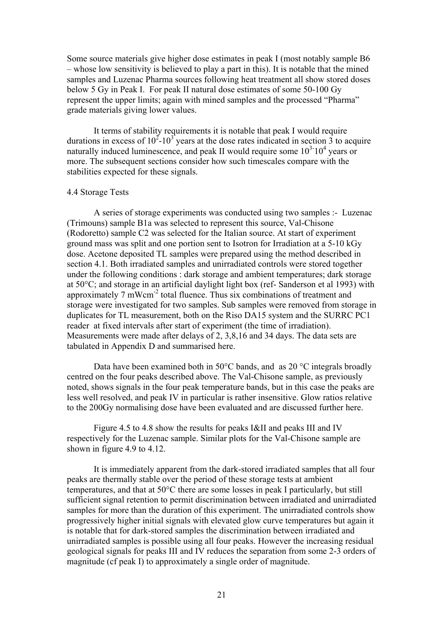Some source materials give higher dose estimates in peak I (most notably sample B6 – whose low sensitivity is believed to play a part in this). It is notable that the mined samples and Luzenac Pharma sources following heat treatment all show stored doses below 5 Gy in Peak I. For peak II natural dose estimates of some 50-100 Gy represent the upper limits; again with mined samples and the processed "Pharma" grade materials giving lower values.

It terms of stability requirements it is notable that peak I would require durations in excess of  $10^2$ - $10^3$  years at the dose rates indicated in section 3 to acquire naturally induced luminescence, and peak II would require some  $10^{3}$  10<sup>4</sup> years or more. The subsequent sections consider how such timescales compare with the stabilities expected for these signals.

#### 4.4 Storage Tests

A series of storage experiments was conducted using two samples :- Luzenac (Trimouns) sample B1a was selected to represent this source, Val-Chisone (Rodoretto) sample C2 was selected for the Italian source. At start of experiment ground mass was split and one portion sent to Isotron for Irradiation at a 5-10 kGy dose. Acetone deposited TL samples were prepared using the method described in section 4.1. Both irradiated samples and unirradiated controls were stored together under the following conditions : dark storage and ambient temperatures; dark storage at 50°C; and storage in an artificial daylight light box (ref- Sanderson et al 1993) with approximately  $7 \text{ mWcm}^{-2}$  total fluence. Thus six combinations of treatment and storage were investigated for two samples. Sub samples were removed from storage in duplicates for TL measurement, both on the Riso DA15 system and the SURRC PC1 reader at fixed intervals after start of experiment (the time of irradiation). Measurements were made after delays of 2, 3,8,16 and 34 days. The data sets are tabulated in Appendix D and summarised here.

Data have been examined both in  $50^{\circ}$ C bands, and as 20  $^{\circ}$ C integrals broadly centred on the four peaks described above. The Val-Chisone sample, as previously noted, shows signals in the four peak temperature bands, but in this case the peaks are less well resolved, and peak IV in particular is rather insensitive. Glow ratios relative to the 200Gy normalising dose have been evaluated and are discussed further here.

Figure 4.5 to 4.8 show the results for peaks I&II and peaks III and IV respectively for the Luzenac sample. Similar plots for the Val-Chisone sample are shown in figure  $4.9$  to  $4.12$ .

It is immediately apparent from the dark-stored irradiated samples that all four peaks are thermally stable over the period of these storage tests at ambient temperatures, and that at  $50^{\circ}$ C there are some losses in peak I particularly, but still sufficient signal retention to permit discrimination between irradiated and unirradiated samples for more than the duration of this experiment. The unirradiated controls show progressively higher initial signals with elevated glow curve temperatures but again it l unirradiated samples is possible using all four peaks. However the increasing residua geological signals for peaks III and IV reduces the separation from some 2-3 orders of magnitude (cf peak I) to approximately a single order of magnitude. is notable that for dark-stored samples the discrimination between irradiated and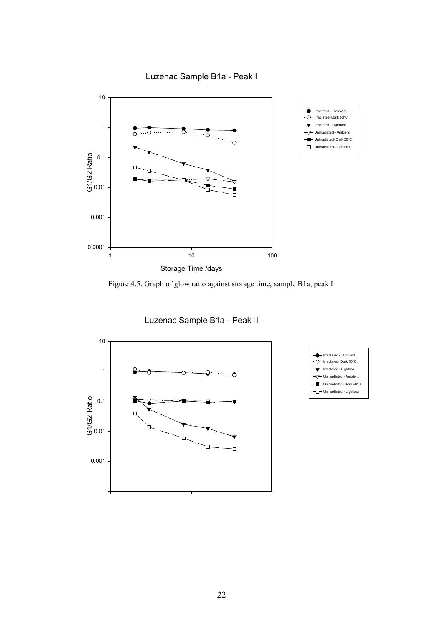Luzenac Sample B1a - Peak I



Figure 4.5. Graph of glow ratio against storage time, sample B1a, peak I

Luzenac Sample B1a - Peak II



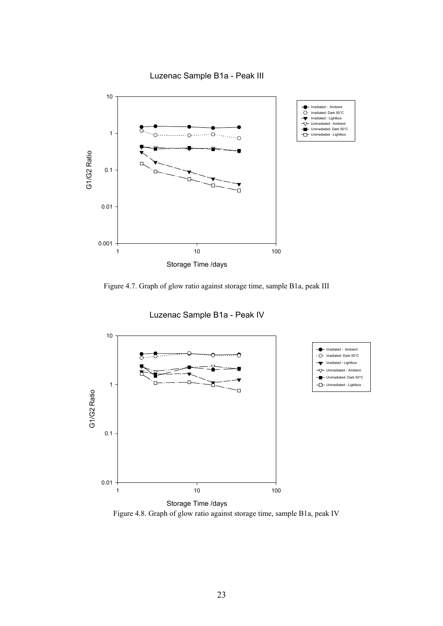

Figure 4.7. Graph of glow ratio against storage time, sample B1a, peak III

Luzenac Sample B1a - Peak IV



Storage Time /days

Figure 4.8. Graph of glow ratio against storage time, sample B1a, peak IV

### Luzenac Sample B1a - Peak III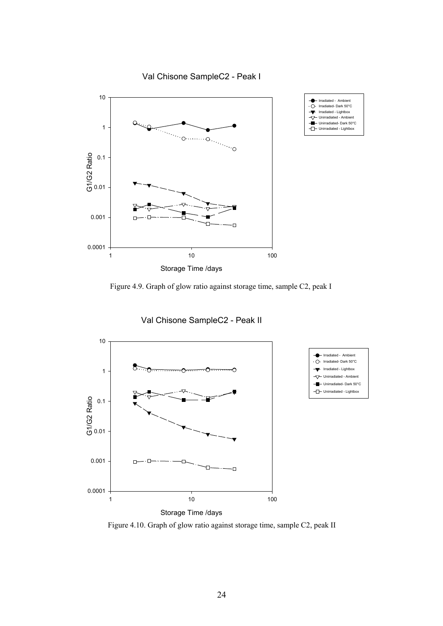



Figure 4.9. Graph of glow ratio against storage time, sample C2, peak I



Val Chisone SampleC2 - Peak II

Figure 4.10. Graph of glow ratio against storage time, sample C2, peak II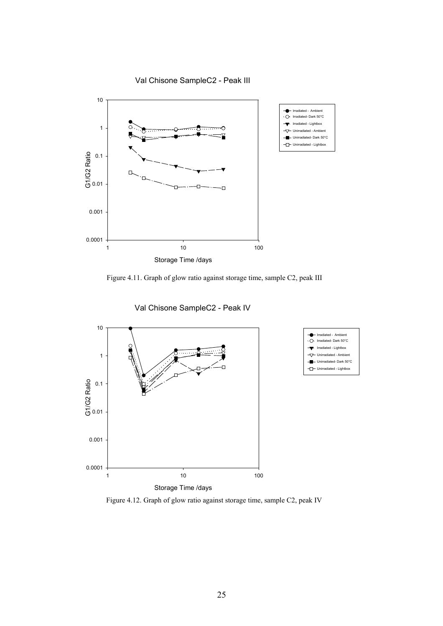



Figure 4.11. Graph of glow ratio against storage time, sample C2, peak III

Irradiated - Ambient Irradiated- Dark 50°C Irradiated - Lighthorn Unirradiated - Ambient Unirradiated- Dark 50°C Unirradiated - Lightb

 $\bigcirc$ 





Figure 4.12. Graph of glow ratio against storage time, sample C2, peak IV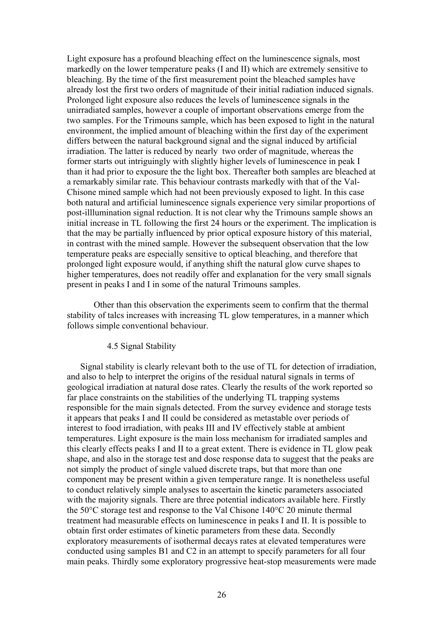Light exposure has a profound bleaching effect on the luminescence signals, most markedly on the lower temperature peaks (I and II) which are extremely sensitive to bleaching. By the time of the first measurement point the bleached samples have already lost the first two orders of magnitude of their initial radiation induced signals. Prolonged light exposure also reduces the levels of luminescence signals in the unirradiated samples, however a couple of important observations emerge from the two samples. For the Trimouns sample, which has been exposed to light in the natural environment, the implied amount of bleaching within the first day of the experiment differs between the natural background signal and the signal induced by artificial irradiation. The latter is reduced by nearly two order of magnitude, whereas the former starts out intriguingly with slightly higher levels of luminescence in peak I than it had prior to exposure the the light box. Thereafter both samples are bleached at a remarkably similar rate. This behaviour contrasts markedly with that of the Val-Chisone mined sample which had not been previously exposed to light. In this case both natural and artificial luminescence signals experience very similar proportions of post-illlumination signal reduction. It is not clear why the Trimouns sample shows an initial increase in TL following the first 24 hours or the experiment. The implication is that the may be partially influenced by prior optical exposure history of this material, in contrast with the mined sample. However the subsequent observation that the low temperature peaks are especially sensitive to optical bleaching, and therefore that prolonged light exposure would, if anything shift the natural glow curve shapes to higher temperatures, does not readily offer and explanation for the very small signals present in peaks I and I in some of the natural Trimouns samples.

Other than this observation the experiments seem to confirm that the thermal stability of talcs increases with increasing TL glow temperatures, in a manner which follows simple conventional behaviour.

### 4.5 Signal Stability

Signal stability is clearly relevant both to the use of TL for detection of irradiation, and also to help to interpret the origins of the residual natural signals in terms of geological irradiation at natural dose rates. Clearly the results of the work reported so far place constraints on the stabilities of the underlying TL trapping systems responsible for the main signals detected. From the survey evidence and storage tests it appears that peaks I and II could be considered as metastable over periods of interest to food irradiation, with peaks III and IV effectively stable at ambient temperatures. Light exposure is the main loss mechanism for irradiated samples and this clearly effects peaks I and II to a great extent. There is evidence in TL glow peak shape, and also in the storage test and dose response data to suggest that the peaks are not simply the product of single valued discrete traps, but that more than one component may be present within a given temperature range. It is nonetheless useful to conduct relatively simple analyses to ascertain the kinetic parameters associated with the majority signals. There are three potential indicators available here. Firstly th e 50°C storage test and response to the Val Chisone 140°C 20 minute thermal tr eatment had measurable effects on luminescence in peaks I and II. It is possible to obtain first order estimates of kinetic parameters from these data. Secondly exploratory measurements of isothermal decays rates at elevated temperatures were conducted using samples B1 and C2 in an attempt to specify parameters for all four main peaks. Thirdly some exploratory progressive heat-stop measurements were made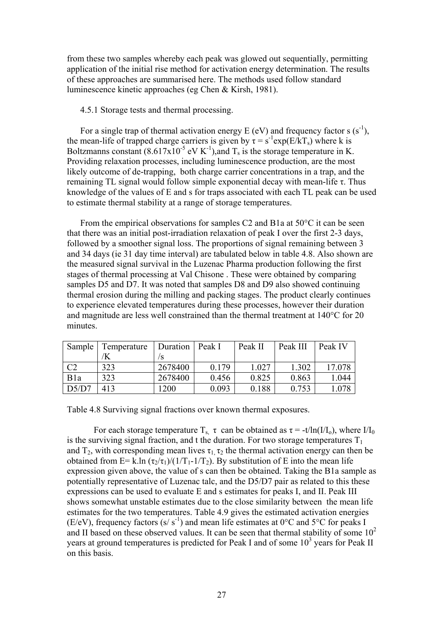from these two samples whereby each peak was glowed out sequentially, permittin g application of the initial rise method for activation energy determination. The results of these approaches are summarised here. The methods used follow standard luminescence kinetic approaches (eg Chen & Kirsh, 1981).

#### 4.5.1 Storage tests and thermal processing.

For a single trap of thermal activation energy  $E$  (eV) and frequency factor s (s<sup>-1</sup>), the mean-life of trapped charge carriers is given by  $\tau = s^{-1} \exp(E/kT_s)$  where k is Boltzmanns constant  $(8.617 \times 10^{-5} \text{ eV K}^{-1})$ , and T<sub>s</sub> is the storage temperature in K. Providing relaxation processes, including luminescence production, are the most likely outcome of de-trapping, both charge carrier concentrations in a trap, and the remaining TL signal would follow simple exponential decay with mean-life τ. Thu s knowledge of the values of E and s for traps associated with each TL peak can be us ed to estimate thermal stability at a range of storage temperatures.

From the empirical observations for samples C2 and B1a at 50°C it can be seen that there was an initial post-irradiation relaxation of peak I over the first 2-3 days, followed by a smoother signal loss. The proportions of signal remaining between 3 and 34 days (ie 31 day time interval) are tabulated below in table 4.8. Also shown are the measured signal survival in the Luzenac Pharma production following the first stages of thermal processing at Val Chisone . These were obtained by comparing samples D5 and D7. It was noted that samples D8 and D9 also show ed continuing thermal erosion during the milling and packing stages. The product clearly continues to expe rience elevated temperatures during these processes, however their duration and magnitude are less well constrained than the thermal treatment at 140°C for 20 minutes.

| Sample           | Temperature | Duration   Peak I |       | Peak II | Peak III | Peak IV |
|------------------|-------------|-------------------|-------|---------|----------|---------|
|                  |             |                   |       |         |          |         |
| C2               | 323         | 2678400           | 0.179 | 1.027   | 1.302    | 17.078  |
| B <sub>1</sub> a | 323         | 2678400           | 0.456 | 0.825   | 0.863    | 1.044   |
| D5/D7            | 413         | 1200              | 0.093 | 0.188   | 0.753    | .078    |

Table 4.8 Surviving signal fractions over known thermal exposures.

For each storage temperature  $T_{s}$ ,  $\tau$  can be obtained as  $\tau = -t/\ln(I/I_o)$ , where  $I/I_0$ is the surviving signal fraction, and t the duration. For two storage temperatures  $T_1$ and  $T_2$ , with corresponding mean lives  $\tau_1$ ,  $\tau_2$  the thermal activation energy can then be obtained from E= k.ln  $(\tau_2/\tau_1)/(1/T_1-1/T_2)$ . By substitution of E into the mean life expression given above, the value of s can then be obtained. Taking the B1a s ample as potentially representative of Luzenac talc, and the D5/D7 pair as related to this these expressions can be used to evaluate E and s estimates for peaks I, and II. Peak III shows somewhat unstable estimates due to the close similarity between the mean life estimates for the two temperatures. Table 4.9 gives the estimated activation energies (E/eV), frequency factors  $(s/s^{-1})$  and mean life estimates at 0°C and 5°C for peaks I and II based on these observed values. It can be seen that thermal stability of some  $10<sup>2</sup>$ years at ground temperatures is predicted for Peak I and of some  $10<sup>3</sup>$  years for Peak II on this basis.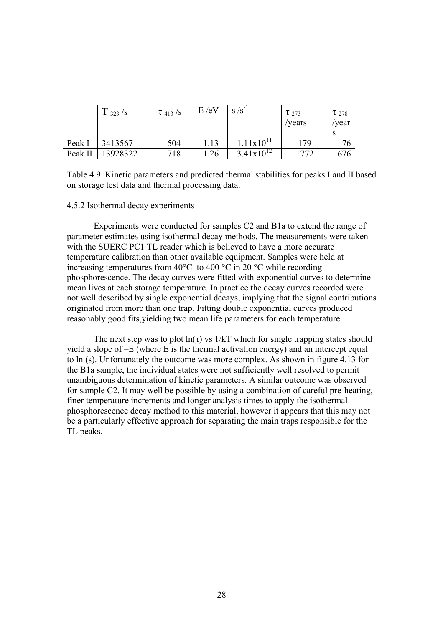|         | 1 $323 / S$ | $\tau$ 413 / S | E / eV | $S/S^{-1}$     | $\tau_{273}$<br>/years | $\tau$ <sub>278</sub><br>/year |
|---------|-------------|----------------|--------|----------------|------------------------|--------------------------------|
| Peak I  | 3413567     | 504            | 1.13   | $1.11x10^{11}$ | 179                    | 76                             |
| Peak II | 13928322    | 718            | .26    | $3.41x10^{12}$ | 1772                   | 676                            |

Table 4.9 Kinetic parameters and predicted thermal stabilities for peaks I and II bas ed on storage test data and thermal processing data.

### 4.5.2 Isothermal decay experiments

phosphorescence. The decay curves were fitted with exponential curves to determine Experiments were conducted for samples C2 and B1a to extend the range of parameter estimates using isothermal decay methods. The measurements were taken with the SUERC PC1 TL reader which is believed to have a more accurate temperature calibration than other available equipment. Samples were held at increasing temperatures from 40°C to 400 °C in 20 °C while recording mean lives at each storage temperature. In practice the decay curves recorded were not well described by single exponential decays, implying that the signal contributions originated from more than one trap. Fitting double exponential curves produced reasonably good fits,yielding two mean life parameters for each temperature.

The next step was to plot  $ln(\tau)$  vs 1/kT which for single trapping states should yield a slope of  $-E$  (where E is the thermal activation energy) and an intercept equal to ln (s). Unfortunately the outcome was more complex. As shown in figure 4.13 for the B1a sample, the individual states were not sufficiently well resolved to permit unambiguous determination of kinetic parameters. A similar outcome was observed for sample C2. It may well be possible by using a combination of careful pre-heating, finer temperature increments and longer analysis times to apply the isothermal phosphorescence decay method to this material, however it appears that this may not be a particularly effective approach for separating the main traps responsible for the TL peaks.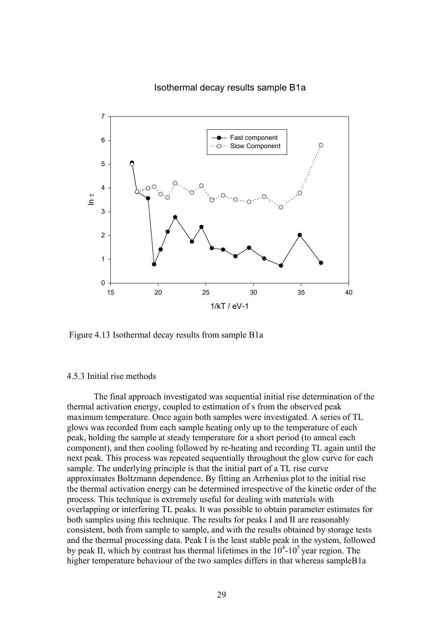

### Isothermal decay results sample B1a

Figure 4.13 Isothermal decay results from sample B1a

#### 4.5.3 Initial rise methods

The final approach investigated was sequential initial rise determination of the glows was recorded from each sample heating only up to the temperature of each peak, holding the sample at steady temperature for a short period (to anneal each component), and then cooling followed by re-heating and recording TL again until the next peak. This process was repeated sequentially throughout the glow curve for each sample. The underlying principle is that the initial part of a TL rise curve approximates Boltzmann dependence. By fitting an Arrhenius plot to the initial rise the thermal activation energy can be determined irrespective of the kinetic order of the process. This technique is extremely useful for dealing with materials with overlapping or interfering TL peaks. It was possible to obtain parameter estimates for both samples using this technique. The results for peaks I and II are reasonably consistent, both from sample to sample, and with the results obtained by storage tests and the thermal processing data. Peak I is the least stable peak in the system, followed by peak II, which by contrast has thermal lifetimes in the  $10^4$ - $10^5$  year region. The higher temperature behaviour of the two samples differs in that whereas sample B1a thermal activation energy, coupled to estimation of s from the observed peak maximum temperature. Once again both samples were investigated. A series of TL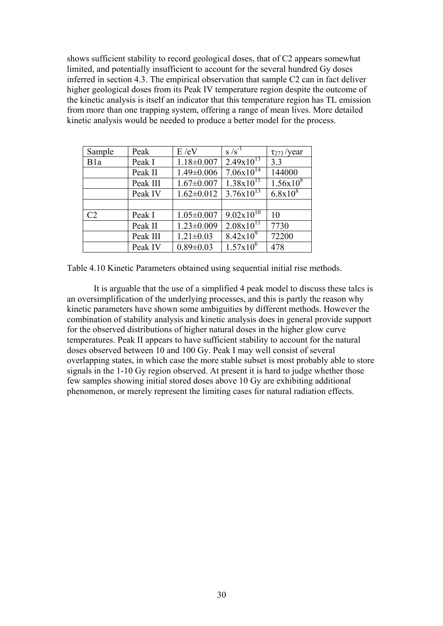shows sufficient stability to record geological doses, that of C2 appears somewhat limited, and potentially insufficient to account for the several hundred Gy doses inferred in section 4.3. The empirical observation that sample C2 can in fact deliver higher geological doses from its Peak IV temperature region despite the outcome of the kinetic analysis is itself an indicator that this temperature region has TL emission from more than one trapping system, offering a range of mean lives. More detailed kinetic analysis would be needed to produce a better model for the process.

| Sample           | Peak     | E / eV           | $S/S^{-1}$             | $\tau_{273}$ /year |
|------------------|----------|------------------|------------------------|--------------------|
| B <sub>1</sub> a | Peak I   | $1.18 \pm 0.007$ | $2.49x10^{13}$         | 3.3                |
|                  | Peak II  | $1.49 \pm 0.006$ | $7.06x10^{14}$         | 144000             |
|                  | Peak III | $1.67 \pm 0.007$ | $1.38 \times 10^{15}$  | $1.56x10^{8}$      |
|                  | Peak IV  | $1.62 \pm 0.012$ | $3.76x10^{13}$         | $6.8x10^{8}$       |
|                  |          |                  |                        |                    |
| C <sub>2</sub>   | Peak I   | $1.05 \pm 0.007$ | $9.02 \times 10^{10}$  | 10                 |
|                  | Peak II  | $1.23 \pm 0.009$ | $2.08 \times 10^{11}$  | 7730               |
|                  | Peak III | $1.21 \pm 0.03$  | $8.42 \times 10^{9}$   | 72200              |
|                  | Peak IV  | $0.89 \pm 0.03$  | $\overline{1.57}x10^6$ | 478                |

Table 4.10 Kinetic Parameters obtained using sequential initial rise methods.

It is arguable that the use of a simplified 4 peak model to discuss these talcs is an oversimplification of the underlying processes, and this is partly the reason why kinetic parameters have shown some ambiguities by different methods. However the combination of stability analysis and kinetic analysis does in general provide support for the observed distributions of higher natural doses in the higher glow curve temperatures. Peak II appears to have sufficient stability to account for the natural doses observed between 10 and 100 Gy. Peak I may well consist of several overlapping states, in which case the more stable subset is most probably able to store signals in the 1-10 Gy region observed. At present it is hard to judge whether those few samples showing initial stored doses above 10 Gy are exhibiting additional phenomenon, or merely represent the limiting cases for natural radiation effects.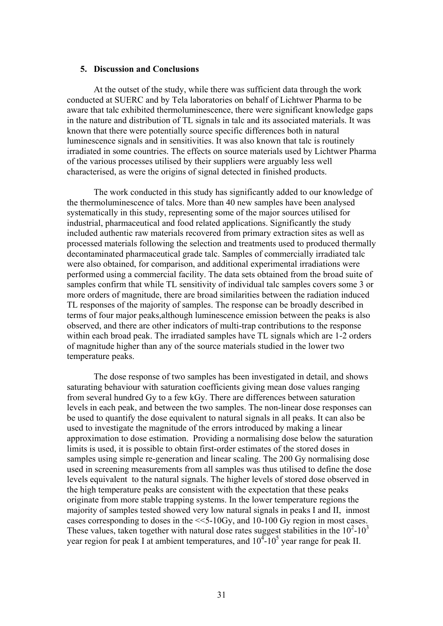#### **5. Discussion and Conclusions**

At the outset of the study, while there was sufficient data through the work conducted at SUERC and by Tela laboratories on behalf of Lichtwer Pharma to be aware that talc exhibited thermoluminescence, there were significant knowledge gaps in the nature and distribution of TL signals in talc and its associated materials. It wa s known that there were potentially source specific differences both in natural luminescence signals and in sensitivities. It was also known that talc is routinely irradiated in some countries. The effects on source materials used by Lichtwer Pharma of the various processes utilised by their suppliers were arguably less well characterised, as were the origins of signal detected in finished products.

The work conducted in this study has significantly added to our knowledge of the thermoluminescence of talcs. More than 40 new samples have been analysed systematically in this study, representing some of the major sources utilised for industrial, pharmaceutical and food related applications. Significantly the study included authentic raw materials recovered from primary extraction sites as well as processed materials following the selection and treatments used to produced thermally decontaminated pharmaceutical grade talc. Samples of commercially irradiated talc were also obtained, for comparison, and additional experimental irradiations were performed using a commercial facility. The data sets obtained from the broad suite of samples confirm that while TL sensitivity of individual talc samples covers some 3 or more orders of magnitude, there are broad similarities between the radiation induced within each broad peak. The irradiated samples have TL signals which are 1-2 orders TL responses of the majority of samples. The response can be broadly described in terms of four major peaks,although luminescence emission between the peaks is also observed, and there are other indicators of multi-trap contributions to the response of magnitude higher than any of the source materials studied in the lower two temperature peaks.

saturating behaviour with saturation coefficients giving mean dose values ranging levels in each peak, and between the two samples. The non-linear dose responses can be used to quantify the dose equivalent to natural signals in all peaks. It can also be used to investigate the magnitude of the errors introduced by making a linear approximation to dose estimation. Providing a normalising dose below the saturation limits is used, it is possible to obtain first-order estimates of the stored doses in samples using simple re-generation and linear scaling. The 200 Gy normalising dose used in screening measurements from all samples was thus utilised to define the dose levels equivalent to the natural signals. The higher levels of stored dose observed in the high temperature peaks are consistent with the expectation that these peaks originate from more stable trapping systems. In the lower temperature regions the majority of samples tested showed very low natural signals in peaks I and II, inmost cases corresponding to doses in the <<5-10Gy, and 10-100 Gy region in most cases. These values, taken together with natural dose rates suggest stabilities in the  $10^2$ - $10^3$ year region for peak I at ambient temperatures, and  $10^{4}$ - $10^{5}$  year range for peak II. The dose response of two samples has been investigated in detail, and shows from several hundred Gy to a few kGy. There are differences between saturation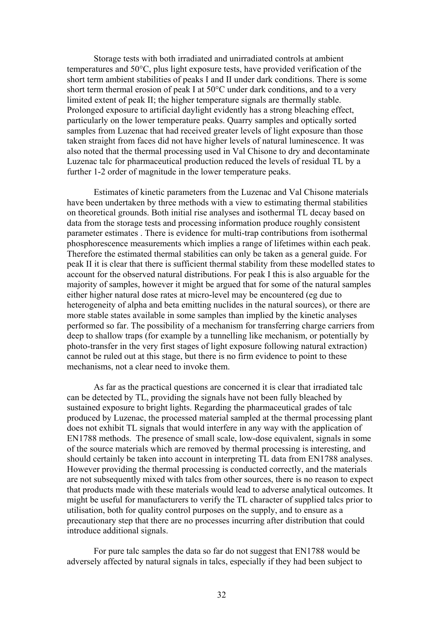Storage tests with both irradiated and unirradiated controls at ambient tem peratures and  $50^{\circ}$ C, plus light exposure tests, have provided verification of the short term ambient stabilities of peaks I and II under dark conditions. There is some short term thermal erosion of peak I at 50°C under dark conditions, and to a very samples from Luzenac that had received greater levels of light exposure than those taken straight from faces did not have higher levels of natural luminescence. It was Luzenac talc for pharmaceutical production reduced the levels of residual TL by a limited extent of peak II; the higher temperature signals are thermally stable. Prolonged exposure to artificial daylight evidently has a strong bleaching effect, particularly on the lower temperature peaks. Quarry samples and optically sorted also noted that the thermal processing used in Val Chisone to dry and decontaminate further 1-2 order of magnitude in the lower temperature peaks.

have been undertaken by three methods with a view to estimating thermal stabilities on on theoretical grounds. Both initial rise analyses and isothermal TL decay based data from the storage tests and processing information produce roughly consistent peak II it is clear that there is sufficient thermal stability from these modelled states to photo-transfer in the very first stages of light exposure following natural extraction) cannot be ruled out at this stage, but there is no firm evidence to point to these mechanisms, not a clear need to invoke them. Estimates of kinetic parameters from the Luzenac and Val Chisone materials parameter estimates . There is evidence for multi-trap contributions from isothermal phosphorescence measurements which implies a range of lifetimes within each peak. Therefore the estimated thermal stabilities can only be taken as a general guide. For account for the observed natural distributions. For peak I this is also arguable for the majority of samples, however it might be argued that for some of the natural samples either higher natural dose rates at micro-level may be encountered (eg due to heterogeneity of alpha and beta emitting nuclides in the natural sources), or there are more stable states available in some samples than implied by the kinetic analyses performed so far. The possibility of a mechanism for transferring charge carriers from deep to shallow traps (for example by a tunnelling like mechanism, or potentially by

produced by Luzenac, the processed material sampled at the thermal processing plant does not exhibit TL signals that would interfere in any way with the application of of the source materials which are removed by thermal processing is interesting, and that products made with these materials would lead to adverse analytical outcomes. It might be useful for manufacturers to verify the TL character of supplied talcs prior to As far as the practical questions are concerned it is clear that irradiated talc can be detected by TL, providing the signals have not been fully bleached by sustained exposure to bright lights. Regarding the pharmaceutical grades of talc EN1788 methods. The presence of small scale, low-dose equivalent, signals in some should certainly be taken into account in interpreting TL data from EN1788 analyses. However providing the thermal processing is conducted correctly, and the materials are not subsequently mixed with talcs from other sources, there is no reason to expect utilisation, both for quality control purposes on the supply, and to ensure as a precautionary step that there are no processes incurring after distribution that could introduce additional signals.

For pure talc samples the data so far do not suggest that EN1788 would be adversely affected by natural signals in talcs, especially if they had been subject to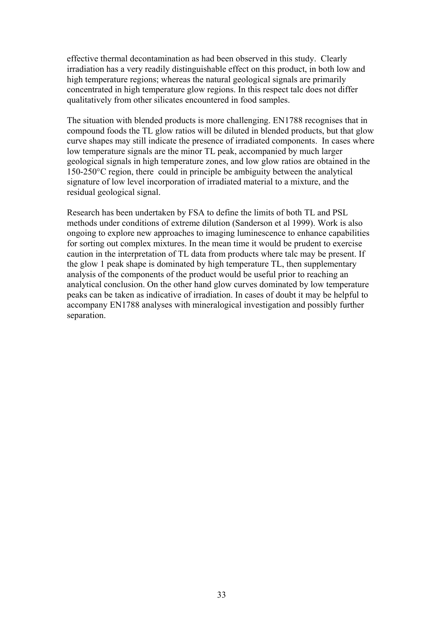effectiv e thermal decontamination as had been observed in this study. Clearly irradiation has a very readily distinguishable effect on this product, in both low and high temperature regions; whereas the natural geological signals are primarily concentrated in high temperature glow regions. In this respect talc does not differ qualitatively from other silicates encountered in food samples.

The situation with blended products is more challenging. EN1788 recognises that in compound foods the TL glow ratios will be diluted in blended products, but that glow curve shapes may still indicate the presence of irradiated components. In cases where e geological signals in high temperature zones, and low glow ratios are obtained in th  $150-250^{\circ}$ C region, there could in principle be ambiguity between the analytical signature of low level incorporation of irradiated material to a mixture, and the residua l geological signal. low temperature signals are the minor TL peak, accompanied by much larger

peaks can be taken as indicative of irradiation. In cases of doubt it may be helpful to Research has been undertaken by FSA to define the limits of both TL and PSL methods under conditions of extreme dilution (Sanderson et al 1999). Work is also ongoing to explore new approaches to imaging luminescence to enhance capabilities for sorting out complex mixtures. In the mean time it would be prudent to exercise caution in the interpretation of TL data from products where talc may be present. If the glow 1 peak shape is dominated by high temperature TL, then supplementary analysis of the components of the product would be useful prior to reaching an analytical conclusion. On the other hand glow curves dominated by low temperature accompany EN1788 analyses with mineralogical investigation and possibly further separation.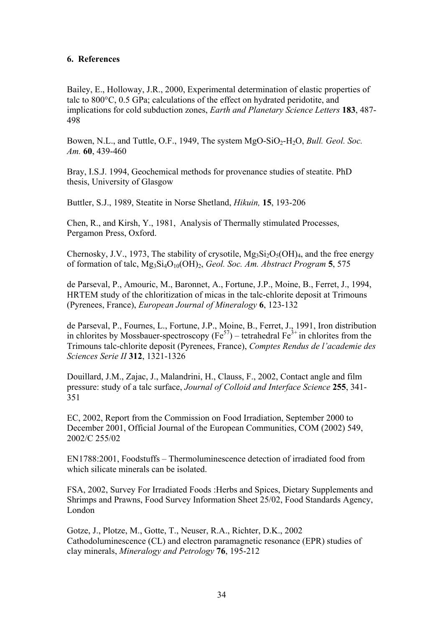### **6. References**

Bailey, E., Holloway, J.R., 2000, Experimental determination of elastic properties of talc to 800°C, 0.5 GPa; calculations of the effect on hydrated pe ridotite, and implications for cold subduction zones, *Earth and Planetary Science Letters* 183, 487-498

Bowen, N.L., and Tuttle, O.F., 1949, The system MgO-SiO<sub>2</sub>-H<sub>2</sub>O, *Bull. Geol. Soc. Am.* **60**, 439-460

Bray, I.S.J. 1994, Geochemical methods for provenance studies of steatite. PhD thesis, University of Glasgow

Buttler, S.J., 1989, Steatite in Norse Shetland, *Hikuin*, 15, 193-206

Chen, R., and Kirsh, Y., 1981, Analysis of Thermally stimulated Processes, Pergamon Press, Oxford.

Chernosky, J.V., 1973, The stability of crysotile,  $Mg_3Si_2O_5(OH)_4$ , and the free energy of formation of talc, Mg3Si4O10(OH)2, *Geol. Soc. Am. Abstract Program* **5**, 575

de Parseval, P., Amouric, M., Baronnet, A., Fortune, J.P., Moine, B., Ferret, J., 1994, HRTEM study of the chloritization of micas in the talc-chlorite deposit at Trimouns (Pyrenees, France), *European Journal of Mineralogy* **6**, 123-132

de Parseval, P., Fournes, L., Fortune, J.P., Moine, B., Ferret, J., 1991, Iron distribution in chlorites by Mossbauer-spectroscopy ( $Fe^{57}$ ) – tetrahedral  $Fe^{3+}$  in chlorites from the rimouns talc-chlorite deposit (Pyrenees, France), *Comptes Rendus de l'academie des*  T *ciences Serie II* **312**, 1321-1326 *S*

Douillard, J.M., Zajac, J., Malandrini, H., Clauss, F., 2002, Contact angle and film pressure: study of a talc surface, *Journal of Colloid and Interface Science* **255**, 341- 51 3

EC, 2002, Report from the Commission on Food Irradiation, September 2000 to December 2001, Official Journal of the European Communities, COM (2002) 549, 2002/C 255/02

EN1788:2001, Foodstuffs – Thermoluminescence detection of irradiated food from which silicate minerals can be isolated.

FSA, 2002, Survey For Irradiated Foods :Herbs and Spices, Dietary Supplements and Shrimps and Prawns, Food Survey Information Sheet 25/02, Food Standards Agency, London

Gotze, J., Plotze, M., Gotte, T., Neuser, R.A., Richter, D.K., 2002 Cathodoluminescence (CL) and electron paramagnetic resonance (EPR) studies of clay minerals, *Mineralogy and Petrology* **76**, 195-212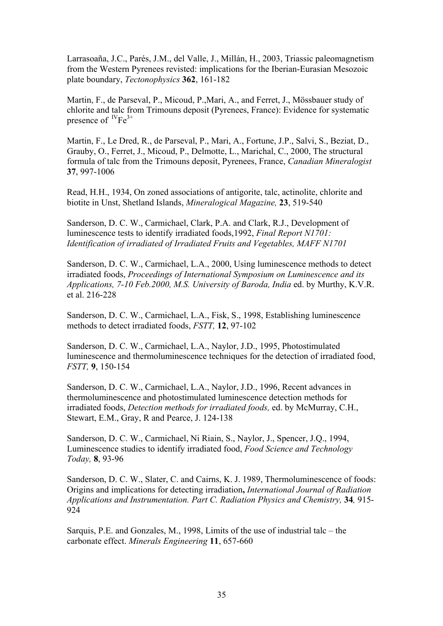Larrasoaña, J.C., Parés, J.M., del Valle, J., Millán, H., 2003, Triassic paleomagnetism from the Western Pyrenees revisted: implications for the Iberian-Eurasian Mesozoic plate boundary, *Tectonophysics* **362**, 161-182

Martin, F., de Parseval, P., Micoud, P., Mari, A., and Ferret, J., Mössbauer study of presence of  ${}^{IV}Fe^{3+}$ chlorite and talc from Trimouns deposit (Pyrenees, France): Evidence for systematic

, Martin, F., Le Dred, R., de Parseval, P., Mari, A., Fortune, J.P., Salvi, S., Beziat, D. Grauby, O., Ferret, J., Micoud, P., Delmotte, L., Marichal, C., 2000, The structural formula of talc from the Trimouns deposit, Pyrenees, France, *Canadian Mineralogist* **37**, 997-1006

Read, H.H., 1934, On zoned associations of antigorite, talc, actinolite, chlorite and 540 biotite in Unst, Shetland Islands, *Mineralogical Magazine,* **23**, 519-

Sanderson, D. C. W., Carmichael, Clark, P.A. and Clark, R.J., Development of luminescence tests to identify irradiated foods, 1992, *Final Report N1701*: *entification of irradiated of Irradiated Fruits and Vegetables, MAFF N1701 Id*

Sanderson, D. C. W., Carmichael, L.A., 2000, Using luminescence methods to detect irradiated foods, Proceedings of International Symposium on Luminescence and its *Applications, 7-10 Feb.2000, M.S. University of Baroda, India* ed. by Murthy, K.V.R. et al. 216-228

Sanderson, D. C. W., Carmichael, L.A., Fisk, S., 1998, Establishing luminescence methods to detect irradiated foods, *FSTT,* **12**, 97-102

luminescence and thermoluminescence techniques for the detection of irradiated food, *STT,* **9**, 150-154 *F* Sanderson, D. C. W., Carmichael, L.A., Naylor, J.D., 1995, Photostimulated

thermoluminescence and photostimulated luminescence detection methods for irradiated foods, *Detection methods for irradiated foods*, ed. by McMurray, C.H., Sanderson, D. C. W., Carmichael, L.A., Naylor, J.D., 1996, Recent advances in Stewart, E.M., Gray, R and Pearce, J. 124-138

Sanderson, D. C. W., Carmichael, Ni Riain, S., Naylor, J., Spencer, J.Q., 1994, uminescence studies to identify irradiated food, *Food Science and Technology*  L *Today,* **8**, 93-96

Sanderson, D. C. W., Slater, C. and Cairns, K. J. 1989, Thermoluminescence of foods: Origins and implications for detecting irradiation**,** *International Journal of Radiation Applications and Instrumentation. Part C. Radiation Physics and Chemistry,* **34***,* 915- 924

Sarquis, P.E. and Gonzales, M., 1998, Limits of the use of industrial talc – the carbonate effect. *Minerals Engineering* **11**, 657-660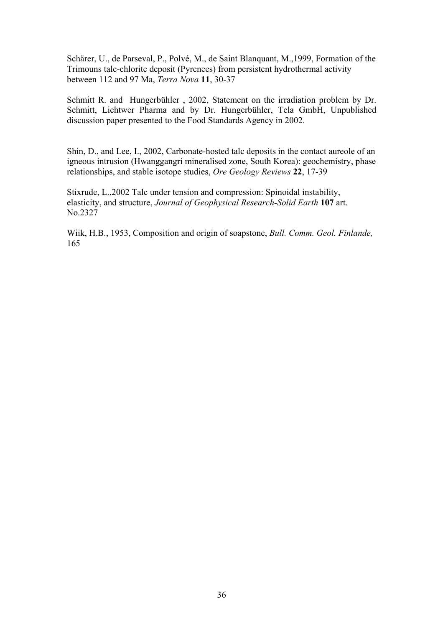Schärer, U., de Parseval, P., Polvé, M., de Saint Blanquant, M.,1999, Formation of the Trimouns talc-chlorite deposit (Pyrenees) from persistent hydrothermal activity between 112 and 97 Ma, *Terra Nova* **11**, 30-37

Schmitt R. and Hungerbühler, 2002, Statement on the irradiation problem by Dr. discussion paper presented to the Food Standards Agency in 2002. Schmitt, Lichtwer Pharma and by Dr. Hungerbühler, Tela GmbH, Unpublished

Shin, D., and Lee, I., 2002, Carbonate-hosted talc deposits in the contact aureole of an relationships, and stable isotope studies, *Ore Geology Reviews* 22, 17-39 igneous intrusion (Hwanggangri mineralised zone, South Korea): geochemistry, phase

elasticity, and structure, *Journal of Geophysical Research-Solid Earth* **107** art. No.2327 Stixrude, L.,2002 Talc under tension and compression: Spinoidal instability,

Wiik, H.B., 1953, Composition and origin of soapstone, *Bull. Comm. Geol. Finlande*, 165